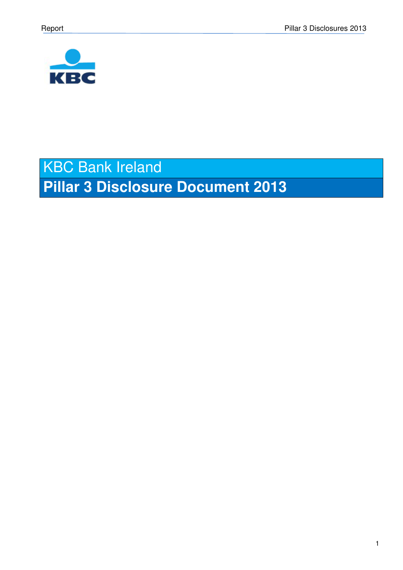

# KBC Bank Ireland **Pillar 3 Disclosure Document 2013**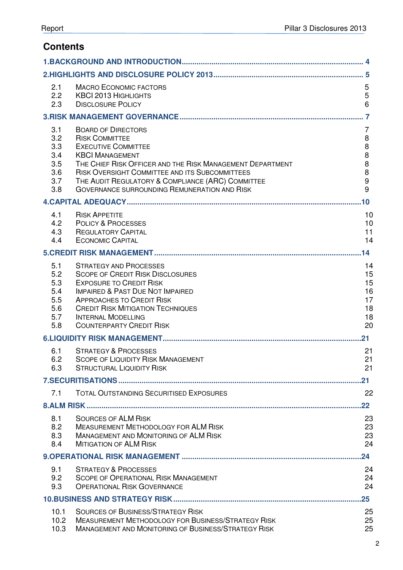# **Contents**

| 2.1<br>2.2<br>2.3                                    | <b>MACRO ECONOMIC FACTORS</b><br><b>KBCI 2013 HIGHLIGHTS</b><br><b>DISCLOSURE POLICY</b>                                                                                                                                                                                                                                              | 5<br>5<br>$6\phantom{1}$                                                    |
|------------------------------------------------------|---------------------------------------------------------------------------------------------------------------------------------------------------------------------------------------------------------------------------------------------------------------------------------------------------------------------------------------|-----------------------------------------------------------------------------|
|                                                      |                                                                                                                                                                                                                                                                                                                                       | $\overline{7}$                                                              |
| 3.1<br>3.2<br>3.3<br>3.4<br>3.5<br>3.6<br>3.7<br>3.8 | <b>BOARD OF DIRECTORS</b><br><b>RISK COMMITTEE</b><br><b>EXECUTIVE COMMITTEE</b><br><b>KBCI MANAGEMENT</b><br>THE CHIEF RISK OFFICER AND THE RISK MANAGEMENT DEPARTMENT<br>RISK OVERSIGHT COMMITTEE AND ITS SUBCOMMITTEES<br>THE AUDIT REGULATORY & COMPLIANCE (ARC) COMMITTEE<br><b>GOVERNANCE SURROUNDING REMUNERATION AND RISK</b> | 7<br>$\,8\,$<br>$\bf 8$<br>$\,8\,$<br>$\bf 8$<br>8<br>$\boldsymbol{9}$<br>9 |
|                                                      |                                                                                                                                                                                                                                                                                                                                       | .10                                                                         |
| 4.1<br>4.2<br>4.3<br>4.4                             | <b>RISK APPETITE</b><br><b>POLICY &amp; PROCESSES</b><br><b>REGULATORY CAPITAL</b><br><b>ECONOMIC CAPITAL</b>                                                                                                                                                                                                                         | 10<br>10<br>11<br>14                                                        |
|                                                      |                                                                                                                                                                                                                                                                                                                                       | .14                                                                         |
| 5.1<br>5.2<br>5.3<br>5.4<br>5.5<br>5.6<br>5.7<br>5.8 | <b>STRATEGY AND PROCESSES</b><br><b>SCOPE OF CREDIT RISK DISCLOSURES</b><br><b>EXPOSURE TO CREDIT RISK</b><br><b>IMPAIRED &amp; PAST DUE NOT IMPAIRED</b><br><b>APPROACHES TO CREDIT RISK</b><br><b>CREDIT RISK MITIGATION TECHNIQUES</b><br><b>INTERNAL MODELLING</b><br><b>COUNTERPARTY CREDIT RISK</b>                             | 14<br>15<br>15<br>16<br>17<br>18<br>18<br>20                                |
|                                                      |                                                                                                                                                                                                                                                                                                                                       | 21                                                                          |
| 6.1<br>6.2<br>6.3                                    | <b>STRATEGY &amp; PROCESSES</b><br><b>SCOPE OF LIQUIDITY RISK MANAGEMENT</b><br><b>STRUCTURAL LIQUIDITY RISK</b>                                                                                                                                                                                                                      | 21<br>21<br>21                                                              |
|                                                      |                                                                                                                                                                                                                                                                                                                                       | $21 \,$                                                                     |
| 7.1                                                  | <b>TOTAL OUTSTANDING SECURITISED EXPOSURES</b>                                                                                                                                                                                                                                                                                        | 22                                                                          |
|                                                      |                                                                                                                                                                                                                                                                                                                                       | $22 \,$                                                                     |
| 8.1<br>8.2<br>8.3<br>8.4                             | <b>SOURCES OF ALM RISK</b><br><b>MEASUREMENT METHODOLOGY FOR ALM RISK</b><br><b>MANAGEMENT AND MONITORING OF ALM RISK</b><br><b>MITIGATION OF ALM RISK</b>                                                                                                                                                                            | 23<br>23<br>23<br>24                                                        |
|                                                      |                                                                                                                                                                                                                                                                                                                                       | .24                                                                         |
| 9.1<br>9.2<br>9.3                                    | <b>STRATEGY &amp; PROCESSES</b><br><b>SCOPE OF OPERATIONAL RISK MANAGEMENT</b><br><b>OPERATIONAL RISK GOVERNANCE</b>                                                                                                                                                                                                                  | 24<br>24<br>24                                                              |
|                                                      |                                                                                                                                                                                                                                                                                                                                       | $.25\,$                                                                     |
| 10.1<br>10.2<br>10.3                                 | <b>SOURCES OF BUSINESS/STRATEGY RISK</b><br><b>MEASUREMENT METHODOLOGY FOR BUSINESS/STRATEGY RISK</b><br><b>MANAGEMENT AND MONITORING OF BUSINESS/STRATEGY RISK</b>                                                                                                                                                                   | 25<br>25<br>25                                                              |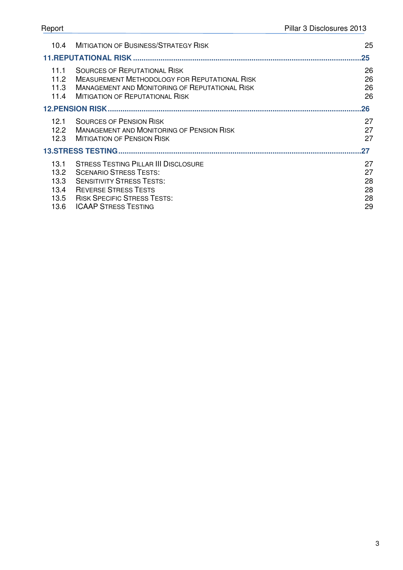| 10.4                         | <b>MITIGATION OF BUSINESS/STRATEGY RISK</b>                                                                                                                                                    | 25                   |
|------------------------------|------------------------------------------------------------------------------------------------------------------------------------------------------------------------------------------------|----------------------|
|                              |                                                                                                                                                                                                | $25\,$               |
| 11.1<br>11.2<br>11.3<br>11.4 | <b>SOURCES OF REPUTATIONAL RISK</b><br><b>MEASUREMENT METHODOLOGY FOR REPUTATIONAL RISK</b><br><b>MANAGEMENT AND MONITORING OF REPUTATIONAL RISK</b><br><b>MITIGATION OF REPUTATIONAL RISK</b> | 26<br>26<br>26<br>26 |
|                              |                                                                                                                                                                                                | $26 \,$              |
| 12.1<br>12.2<br>12.3         | <b>SOURCES OF PENSION RISK</b><br><b>MANAGEMENT AND MONITORING OF PENSION RISK</b><br><b>MITIGATION OF PENSION RISK</b>                                                                        | 27<br>27<br>27       |
|                              |                                                                                                                                                                                                | 27                   |
| 13.1<br>13.2<br>13.3<br>13.4 | <b>STRESS TESTING PILLAR III DISCLOSURE</b><br><b>SCENARIO STRESS TESTS:</b><br><b>SENSITIVITY STRESS TESTS:</b><br><b>REVERSE STRESS TESTS</b>                                                | 27<br>27<br>28<br>28 |
| 13.5                         | <b>RISK SPECIFIC STRESS TESTS:</b>                                                                                                                                                             | 28                   |

13.5 FISK SPECIFIC STRESS TESTS:<br>13.6 ICAAP STRESS TESTING 29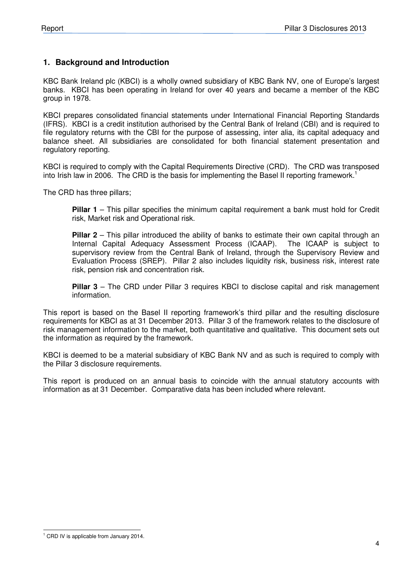#### **1. Background and Introduction**

KBC Bank Ireland plc (KBCI) is a wholly owned subsidiary of KBC Bank NV, one of Europe's largest banks. KBCI has been operating in Ireland for over 40 years and became a member of the KBC group in 1978.

KBCI prepares consolidated financial statements under International Financial Reporting Standards (IFRS). KBCI is a credit institution authorised by the Central Bank of Ireland (CBI) and is required to file regulatory returns with the CBI for the purpose of assessing, inter alia, its capital adequacy and balance sheet. All subsidiaries are consolidated for both financial statement presentation and regulatory reporting.

KBCI is required to comply with the Capital Requirements Directive (CRD). The CRD was transposed into Irish law in 2006. The CRD is the basis for implementing the Basel II reporting framework.<sup>1</sup>

The CRD has three pillars;

**Pillar 1** – This pillar specifies the minimum capital requirement a bank must hold for Credit risk, Market risk and Operational risk.

**Pillar 2** – This pillar introduced the ability of banks to estimate their own capital through an Internal Capital Adequacy Assessment Process (ICAAP). The ICAAP is subject to supervisory review from the Central Bank of Ireland, through the Supervisory Review and Evaluation Process (SREP). Pillar 2 also includes liquidity risk, business risk, interest rate risk, pension risk and concentration risk.

**Pillar 3** – The CRD under Pillar 3 requires KBCI to disclose capital and risk management information.

This report is based on the Basel II reporting framework's third pillar and the resulting disclosure requirements for KBCI as at 31 December 2013. Pillar 3 of the framework relates to the disclosure of risk management information to the market, both quantitative and qualitative. This document sets out the information as required by the framework.

KBCI is deemed to be a material subsidiary of KBC Bank NV and as such is required to comply with the Pillar 3 disclosure requirements.

This report is produced on an annual basis to coincide with the annual statutory accounts with information as at 31 December. Comparative data has been included where relevant.

 1 CRD IV is applicable from January 2014.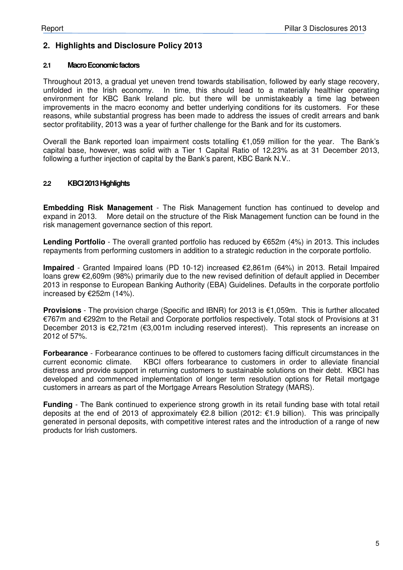### **2. Highlights and Disclosure Policy 2013**

#### **2.1 Macro Economic factors**

Throughout 2013, a gradual yet uneven trend towards stabilisation, followed by early stage recovery, unfolded in the Irish economy. In time, this should lead to a materially healthier operating environment for KBC Bank Ireland plc. but there will be unmistakeably a time lag between improvements in the macro economy and better underlying conditions for its customers. For these reasons, while substantial progress has been made to address the issues of credit arrears and bank sector profitability, 2013 was a year of further challenge for the Bank and for its customers.

Overall the Bank reported loan impairment costs totalling €1,059 million for the year. The Bank's capital base, however, was solid with a Tier 1 Capital Ratio of 12.23% as at 31 December 2013, following a further injection of capital by the Bank's parent, KBC Bank N.V..

#### **2.2 KBCI 2013 Highlights**

**Embedding Risk Management** - The Risk Management function has continued to develop and expand in 2013. More detail on the structure of the Risk Management function can be found in the risk management governance section of this report.

**Lending Portfolio** - The overall granted portfolio has reduced by €652m (4%) in 2013. This includes repayments from performing customers in addition to a strategic reduction in the corporate portfolio.

**Impaired** - Granted Impaired loans (PD 10-12) increased €2,861m (64%) in 2013. Retail Impaired loans grew €2,609m (98%) primarily due to the new revised definition of default applied in December 2013 in response to European Banking Authority (EBA) Guidelines. Defaults in the corporate portfolio increased by €252m (14%).

**Provisions** - The provision charge (Specific and IBNR) for 2013 is €1,059m. This is further allocated €767m and €292m to the Retail and Corporate portfolios respectively. Total stock of Provisions at 31 December 2013 is €2,721m (€3,001m including reserved interest). This represents an increase on 2012 of 57%.

**Forbearance** - Forbearance continues to be offered to customers facing difficult circumstances in the current economic climate. KBCI offers forbearance to customers in order to alleviate financial distress and provide support in returning customers to sustainable solutions on their debt. KBCI has developed and commenced implementation of longer term resolution options for Retail mortgage customers in arrears as part of the Mortgage Arrears Resolution Strategy (MARS).

**Funding** - The Bank continued to experience strong growth in its retail funding base with total retail deposits at the end of 2013 of approximately €2.8 billion (2012: €1.9 billion). This was principally generated in personal deposits, with competitive interest rates and the introduction of a range of new products for Irish customers.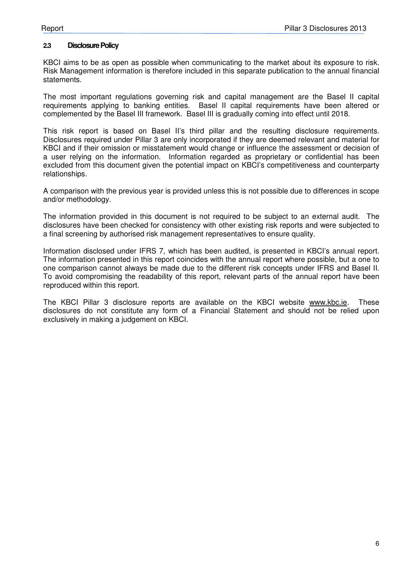#### **2.3 Disclosure Policy**

KBCI aims to be as open as possible when communicating to the market about its exposure to risk. Risk Management information is therefore included in this separate publication to the annual financial statements.

The most important regulations governing risk and capital management are the Basel II capital requirements applying to banking entities. Basel II capital requirements have been altered or complemented by the Basel III framework. Basel III is gradually coming into effect until 2018.

This risk report is based on Basel II's third pillar and the resulting disclosure requirements. Disclosures required under Pillar 3 are only incorporated if they are deemed relevant and material for KBCI and if their omission or misstatement would change or influence the assessment or decision of a user relying on the information. Information regarded as proprietary or confidential has been excluded from this document given the potential impact on KBCI's competitiveness and counterparty relationships.

A comparison with the previous year is provided unless this is not possible due to differences in scope and/or methodology.

The information provided in this document is not required to be subject to an external audit. The disclosures have been checked for consistency with other existing risk reports and were subjected to a final screening by authorised risk management representatives to ensure quality.

Information disclosed under IFRS 7, which has been audited, is presented in KBCI's annual report. The information presented in this report coincides with the annual report where possible, but a one to one comparison cannot always be made due to the different risk concepts under IFRS and Basel II. To avoid compromising the readability of this report, relevant parts of the annual report have been reproduced within this report.

The KBCI Pillar 3 disclosure reports are available on the KBCI website www.kbc.ie. These disclosures do not constitute any form of a Financial Statement and should not be relied upon exclusively in making a judgement on KBCI.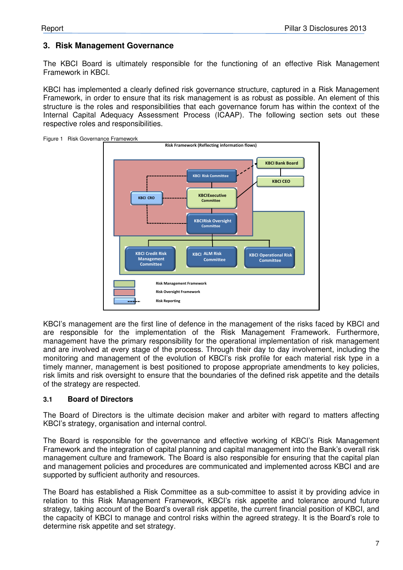### **3. Risk Management Governance**

The KBCI Board is ultimately responsible for the functioning of an effective Risk Management Framework in KBCI.

KBCI has implemented a clearly defined risk governance structure, captured in a Risk Management Framework, in order to ensure that its risk management is as robust as possible. An element of this structure is the roles and responsibilities that each governance forum has within the context of the Internal Capital Adequacy Assessment Process (ICAAP). The following section sets out these respective roles and responsibilities.



KBCI's management are the first line of defence in the management of the risks faced by KBCI and are responsible for the implementation of the Risk Management Framework. Furthermore, management have the primary responsibility for the operational implementation of risk management and are involved at every stage of the process. Through their day to day involvement, including the monitoring and management of the evolution of KBCI's risk profile for each material risk type in a timely manner, management is best positioned to propose appropriate amendments to key policies, risk limits and risk oversight to ensure that the boundaries of the defined risk appetite and the details

#### **3.1 Board of Directors**

of the strategy are respected.

The Board of Directors is the ultimate decision maker and arbiter with regard to matters affecting KBCI's strategy, organisation and internal control.

The Board is responsible for the governance and effective working of KBCI's Risk Management Framework and the integration of capital planning and capital management into the Bank's overall risk management culture and framework. The Board is also responsible for ensuring that the capital plan and management policies and procedures are communicated and implemented across KBCI and are supported by sufficient authority and resources.

The Board has established a Risk Committee as a sub-committee to assist it by providing advice in relation to this Risk Management Framework, KBCI's risk appetite and tolerance around future strategy, taking account of the Board's overall risk appetite, the current financial position of KBCI, and the capacity of KBCI to manage and control risks within the agreed strategy. It is the Board's role to determine risk appetite and set strategy.

Figure 1 Risk Governance Framework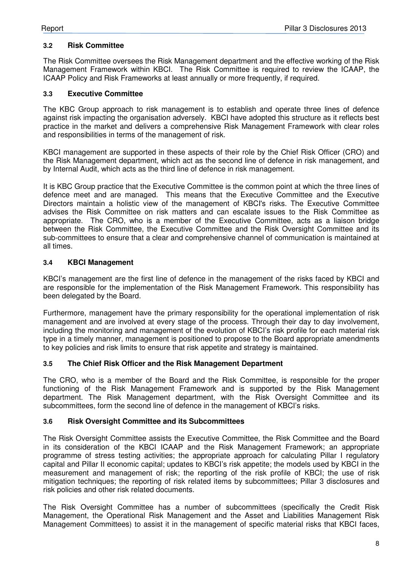#### **3.2 Risk Committee**

The Risk Committee oversees the Risk Management department and the effective working of the Risk Management Framework within KBCI. The Risk Committee is required to review the ICAAP, the ICAAP Policy and Risk Frameworks at least annually or more frequently, if required.

#### **3.3 Executive Committee**

The KBC Group approach to risk management is to establish and operate three lines of defence against risk impacting the organisation adversely. KBCI have adopted this structure as it reflects best practice in the market and delivers a comprehensive Risk Management Framework with clear roles and responsibilities in terms of the management of risk.

KBCI management are supported in these aspects of their role by the Chief Risk Officer (CRO) and the Risk Management department, which act as the second line of defence in risk management, and by Internal Audit, which acts as the third line of defence in risk management.

It is KBC Group practice that the Executive Committee is the common point at which the three lines of defence meet and are managed. This means that the Executive Committee and the Executive Directors maintain a holistic view of the management of KBCI's risks. The Executive Committee advises the Risk Committee on risk matters and can escalate issues to the Risk Committee as appropriate. The CRO, who is a member of the Executive Committee, acts as a liaison bridge between the Risk Committee, the Executive Committee and the Risk Oversight Committee and its sub-committees to ensure that a clear and comprehensive channel of communication is maintained at all times.

#### **3.4 KBCI Management**

KBCI's management are the first line of defence in the management of the risks faced by KBCI and are responsible for the implementation of the Risk Management Framework. This responsibility has been delegated by the Board.

Furthermore, management have the primary responsibility for the operational implementation of risk management and are involved at every stage of the process. Through their day to day involvement, including the monitoring and management of the evolution of KBCI's risk profile for each material risk type in a timely manner, management is positioned to propose to the Board appropriate amendments to key policies and risk limits to ensure that risk appetite and strategy is maintained.

#### **3.5 The Chief Risk Officer and the Risk Management Department**

The CRO, who is a member of the Board and the Risk Committee, is responsible for the proper functioning of the Risk Management Framework and is supported by the Risk Management department. The Risk Management department, with the Risk Oversight Committee and its subcommittees, form the second line of defence in the management of KBCI's risks.

#### **3.6 Risk Oversight Committee and its Subcommittees**

The Risk Oversight Committee assists the Executive Committee, the Risk Committee and the Board in its consideration of the KBCI ICAAP and the Risk Management Framework; an appropriate programme of stress testing activities; the appropriate approach for calculating Pillar I regulatory capital and Pillar II economic capital; updates to KBCI's risk appetite; the models used by KBCI in the measurement and management of risk; the reporting of the risk profile of KBCI; the use of risk mitigation techniques; the reporting of risk related items by subcommittees; Pillar 3 disclosures and risk policies and other risk related documents.

The Risk Oversight Committee has a number of subcommittees (specifically the Credit Risk Management, the Operational Risk Management and the Asset and Liabilities Management Risk Management Committees) to assist it in the management of specific material risks that KBCI faces,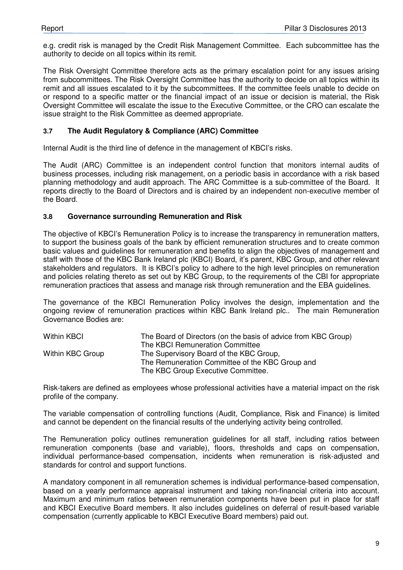e.g. credit risk is managed by the Credit Risk Management Committee. Each subcommittee has the authority to decide on all topics within its remit.

The Risk Oversight Committee therefore acts as the primary escalation point for any issues arising from subcommittees. The Risk Oversight Committee has the authority to decide on all topics within its remit and all issues escalated to it by the subcommittees. If the committee feels unable to decide on or respond to a specific matter or the financial impact of an issue or decision is material, the Risk Oversight Committee will escalate the issue to the Executive Committee, or the CRO can escalate the issue straight to the Risk Committee as deemed appropriate.

#### **3.7 The Audit Regulatory & Compliance (ARC) Committee**

Internal Audit is the third line of defence in the management of KBCI's risks.

The Audit (ARC) Committee is an independent control function that monitors internal audits of business processes, including risk management, on a periodic basis in accordance with a risk based planning methodology and audit approach. The ARC Committee is a sub-committee of the Board. It reports directly to the Board of Directors and is chaired by an independent non-executive member of the Board.

#### **3.8 Governance surrounding Remuneration and Risk**

The objective of KBCI's Remuneration Policy is to increase the transparency in remuneration matters, to support the business goals of the bank by efficient remuneration structures and to create common basic values and guidelines for remuneration and benefits to align the objectives of management and staff with those of the KBC Bank Ireland plc (KBCI) Board, it's parent, KBC Group, and other relevant stakeholders and regulators. It is KBCI's policy to adhere to the high level principles on remuneration and policies relating thereto as set out by KBC Group, to the requirements of the CBI for appropriate remuneration practices that assess and manage risk through remuneration and the EBA guidelines.

The governance of the KBCI Remuneration Policy involves the design, implementation and the ongoing review of remuneration practices within KBC Bank Ireland plc.. The main Remuneration Governance Bodies are:

| Within KBCI      | The Board of Directors (on the basis of advice from KBC Group) |
|------------------|----------------------------------------------------------------|
|                  | The KBCI Remuneration Committee                                |
| Within KBC Group | The Supervisory Board of the KBC Group,                        |
|                  | The Remuneration Committee of the KBC Group and                |
|                  | The KBC Group Executive Committee.                             |

Risk-takers are defined as employees whose professional activities have a material impact on the risk profile of the company.

The variable compensation of controlling functions (Audit, Compliance, Risk and Finance) is limited and cannot be dependent on the financial results of the underlying activity being controlled.

The Remuneration policy outlines remuneration guidelines for all staff, including ratios between remuneration components (base and variable), floors, thresholds and caps on compensation, individual performance-based compensation, incidents when remuneration is risk-adjusted and standards for control and support functions.

A mandatory component in all remuneration schemes is individual performance-based compensation, based on a yearly performance appraisal instrument and taking non-financial criteria into account. Maximum and minimum ratios between remuneration components have been put in place for staff and KBCI Executive Board members. It also includes guidelines on deferral of result-based variable compensation (currently applicable to KBCI Executive Board members) paid out.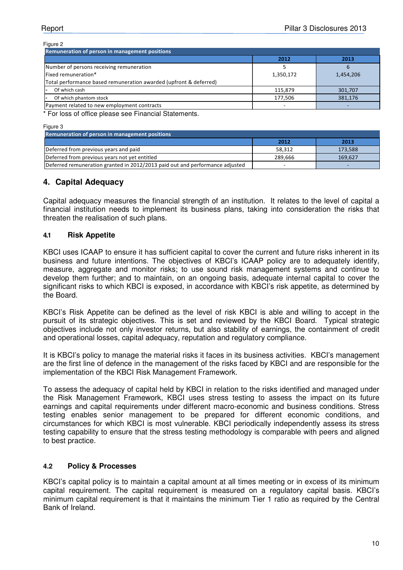#### Figure 2 2012 2013 Number of persons receiving remuneration and the state of the state of the state of the state of the state of the state of the state of the state of the state of the state of the state of the state of the state of the stat Fixed remuneration\* 1,350,172 1,454,206 Total performance based remuneration awarded (upfront & deferred) - Of which cash 301,707  $\vert$  301,707  $\vert$  301,707  $\vert$  301,707  $\vert$  301,707  $\vert$  301,707  $\vert$  301,707  $\vert$  301,707  $\vert$  301,707  $\vert$  301,707  $\vert$  301,707  $\vert$  301,707  $\vert$  301,707  $\vert$  301,707  $\vert$  301,707  $\vert$  301,707  $\vert$ - Of which phantom stock 281,176 381,176 Payment related to new employment contracts Remuneration of person in management positions

For loss of office please see Financial Statements.

Figure 3

| <b>Remuneration of person in management positions</b>                        |         |         |  |  |  |  |
|------------------------------------------------------------------------------|---------|---------|--|--|--|--|
|                                                                              | 2012    | 2013    |  |  |  |  |
| Deferred from previous years and paid                                        | 58.312  | 173.588 |  |  |  |  |
| Deferred from previous years not yet entitled                                | 289.666 | 169,627 |  |  |  |  |
| Deferred remuneration granted in 2012/2013 paid out and performance adjusted | -       | -       |  |  |  |  |

#### **4. Capital Adequacy**

Capital adequacy measures the financial strength of an institution. It relates to the level of capital a financial institution needs to implement its business plans, taking into consideration the risks that threaten the realisation of such plans.

#### **4.1 Risk Appetite**

KBCI uses ICAAP to ensure it has sufficient capital to cover the current and future risks inherent in its business and future intentions. The objectives of KBCI's ICAAP policy are to adequately identify, measure, aggregate and monitor risks; to use sound risk management systems and continue to develop them further; and to maintain, on an ongoing basis, adequate internal capital to cover the significant risks to which KBCI is exposed, in accordance with KBCI's risk appetite, as determined by the Board.

KBCI's Risk Appetite can be defined as the level of risk KBCI is able and willing to accept in the pursuit of its strategic objectives. This is set and reviewed by the KBCI Board. Typical strategic objectives include not only investor returns, but also stability of earnings, the containment of credit and operational losses, capital adequacy, reputation and regulatory compliance.

It is KBCI's policy to manage the material risks it faces in its business activities. KBCI's management are the first line of defence in the management of the risks faced by KBCI and are responsible for the implementation of the KBCI Risk Management Framework.

To assess the adequacy of capital held by KBCI in relation to the risks identified and managed under the Risk Management Framework, KBCI uses stress testing to assess the impact on its future earnings and capital requirements under different macro-economic and business conditions. Stress testing enables senior management to be prepared for different economic conditions, and circumstances for which KBCI is most vulnerable. KBCI periodically independently assess its stress testing capability to ensure that the stress testing methodology is comparable with peers and aligned to best practice.

#### **4.2 Policy & Processes**

KBCI's capital policy is to maintain a capital amount at all times meeting or in excess of its minimum capital requirement. The capital requirement is measured on a regulatory capital basis. KBCI's minimum capital requirement is that it maintains the minimum Tier 1 ratio as required by the Central Bank of Ireland.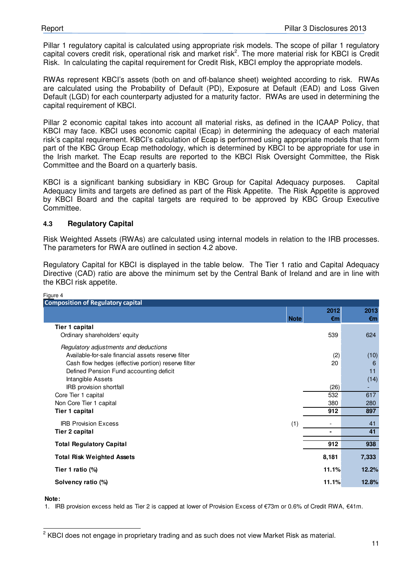Pillar 1 regulatory capital is calculated using appropriate risk models. The scope of pillar 1 regulatory capital covers credit risk, operational risk and market risk<sup>2</sup>. The more material risk for KBCI is Credit Risk. In calculating the capital requirement for Credit Risk, KBCI employ the appropriate models.

RWAs represent KBCI's assets (both on and off-balance sheet) weighted according to risk. RWAs are calculated using the Probability of Default (PD), Exposure at Default (EAD) and Loss Given Default (LGD) for each counterparty adjusted for a maturity factor. RWAs are used in determining the capital requirement of KBCI.

Pillar 2 economic capital takes into account all material risks, as defined in the ICAAP Policy, that KBCI may face. KBCI uses economic capital (Ecap) in determining the adequacy of each material risk's capital requirement. KBCI's calculation of Ecap is performed using appropriate models that form part of the KBC Group Ecap methodology, which is determined by KBCI to be appropriate for use in the Irish market. The Ecap results are reported to the KBCI Risk Oversight Committee, the Risk Committee and the Board on a quarterly basis.

KBCI is a significant banking subsidiary in KBC Group for Capital Adequacy purposes. Capital Adequacy limits and targets are defined as part of the Risk Appetite. The Risk Appetite is approved by KBCI Board and the capital targets are required to be approved by KBC Group Executive Committee.

#### **4.3 Regulatory Capital**

Risk Weighted Assets (RWAs) are calculated using internal models in relation to the IRB processes. The parameters for RWA are outlined in section 4.2 above.

Regulatory Capital for KBCI is displayed in the table below. The Tier 1 ratio and Capital Adequacy Directive (CAD) ratio are above the minimum set by the Central Bank of Ireland and are in line with the KBCI risk appetite.

| 2012<br>2013<br><b>Note</b><br>$\epsilon$ m<br>€m<br><b>Tier 1 capital</b><br>539<br>624<br>Ordinary shareholders' equity<br>Regulatory adjustments and deductions<br>Available-for-sale financial assets reserve filter<br>(10)<br>(2)<br>20<br>Cash flow hedges (effective portion) reserve filter<br>6<br>Defined Pension Fund accounting deficit<br>11<br>(14)<br>Intangible Assets<br>IRB provision shortfall<br>(26)<br>Core Tier 1 capital<br>532<br>617<br>Non Core Tier 1 capital<br>380<br>280<br>912<br>897<br>Tier 1 capital<br><b>IRB Provision Excess</b><br>(1)<br>41<br>41<br><b>Tier 2 capital</b><br>$\blacksquare$<br>912<br>938<br><b>Total Regulatory Capital</b><br>8,181<br>7,333<br><b>Total Risk Weighted Assets</b><br>12.2%<br>11.1%<br>Tier 1 ratio (%)<br>11.1%<br>12.8%<br>Solvency ratio (%) | Figure 4                                 |  |  |
|-----------------------------------------------------------------------------------------------------------------------------------------------------------------------------------------------------------------------------------------------------------------------------------------------------------------------------------------------------------------------------------------------------------------------------------------------------------------------------------------------------------------------------------------------------------------------------------------------------------------------------------------------------------------------------------------------------------------------------------------------------------------------------------------------------------------------------|------------------------------------------|--|--|
|                                                                                                                                                                                                                                                                                                                                                                                                                                                                                                                                                                                                                                                                                                                                                                                                                             | <b>Composition of Regulatory capital</b> |  |  |
|                                                                                                                                                                                                                                                                                                                                                                                                                                                                                                                                                                                                                                                                                                                                                                                                                             |                                          |  |  |
|                                                                                                                                                                                                                                                                                                                                                                                                                                                                                                                                                                                                                                                                                                                                                                                                                             |                                          |  |  |
|                                                                                                                                                                                                                                                                                                                                                                                                                                                                                                                                                                                                                                                                                                                                                                                                                             |                                          |  |  |
|                                                                                                                                                                                                                                                                                                                                                                                                                                                                                                                                                                                                                                                                                                                                                                                                                             |                                          |  |  |
|                                                                                                                                                                                                                                                                                                                                                                                                                                                                                                                                                                                                                                                                                                                                                                                                                             |                                          |  |  |
|                                                                                                                                                                                                                                                                                                                                                                                                                                                                                                                                                                                                                                                                                                                                                                                                                             |                                          |  |  |
|                                                                                                                                                                                                                                                                                                                                                                                                                                                                                                                                                                                                                                                                                                                                                                                                                             |                                          |  |  |
|                                                                                                                                                                                                                                                                                                                                                                                                                                                                                                                                                                                                                                                                                                                                                                                                                             |                                          |  |  |
|                                                                                                                                                                                                                                                                                                                                                                                                                                                                                                                                                                                                                                                                                                                                                                                                                             |                                          |  |  |
|                                                                                                                                                                                                                                                                                                                                                                                                                                                                                                                                                                                                                                                                                                                                                                                                                             |                                          |  |  |
|                                                                                                                                                                                                                                                                                                                                                                                                                                                                                                                                                                                                                                                                                                                                                                                                                             |                                          |  |  |
|                                                                                                                                                                                                                                                                                                                                                                                                                                                                                                                                                                                                                                                                                                                                                                                                                             |                                          |  |  |
|                                                                                                                                                                                                                                                                                                                                                                                                                                                                                                                                                                                                                                                                                                                                                                                                                             |                                          |  |  |
|                                                                                                                                                                                                                                                                                                                                                                                                                                                                                                                                                                                                                                                                                                                                                                                                                             |                                          |  |  |
|                                                                                                                                                                                                                                                                                                                                                                                                                                                                                                                                                                                                                                                                                                                                                                                                                             |                                          |  |  |
|                                                                                                                                                                                                                                                                                                                                                                                                                                                                                                                                                                                                                                                                                                                                                                                                                             |                                          |  |  |
|                                                                                                                                                                                                                                                                                                                                                                                                                                                                                                                                                                                                                                                                                                                                                                                                                             |                                          |  |  |
|                                                                                                                                                                                                                                                                                                                                                                                                                                                                                                                                                                                                                                                                                                                                                                                                                             |                                          |  |  |
|                                                                                                                                                                                                                                                                                                                                                                                                                                                                                                                                                                                                                                                                                                                                                                                                                             |                                          |  |  |

**Note:**

1. IRB provision excess held as Tier 2 is capped at lower of Provision Excess of €73m or 0.6% of Credit RWA, €41m.

 2 KBCI does not engage in proprietary trading and as such does not view Market Risk as material.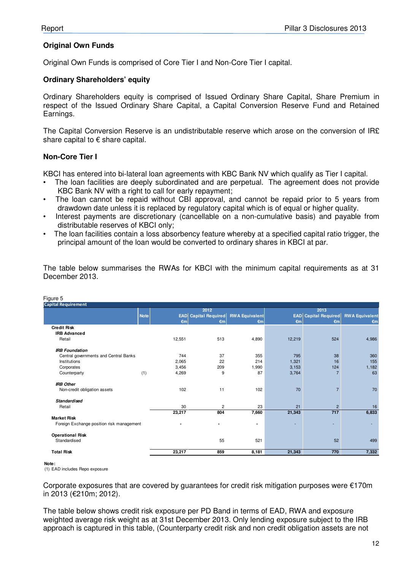#### **Original Own Funds**

Original Own Funds is comprised of Core Tier I and Non-Core Tier I capital.

#### **Ordinary Shareholders' equity**

Ordinary Shareholders equity is comprised of Issued Ordinary Share Capital, Share Premium in respect of the Issued Ordinary Share Capital, a Capital Conversion Reserve Fund and Retained Earnings.

The Capital Conversion Reserve is an undistributable reserve which arose on the conversion of IR£ share capital to € share capital.

#### **Non-Core Tier I**

KBCI has entered into bi-lateral loan agreements with KBC Bank NV which qualify as Tier I capital.

- The loan facilities are deeply subordinated and are perpetual. The agreement does not provide KBC Bank NV with a right to call for early repayment:
- The loan cannot be repaid without CBI approval, and cannot be repaid prior to 5 years from drawdown date unless it is replaced by regulatory capital which is of equal or higher quality.
- Interest payments are discretionary (cancellable on a non-cumulative basis) and payable from distributable reserves of KBCI only;
- The loan facilities contain a loss absorbency feature whereby at a specified capital ratio trigger, the principal amount of the loan would be converted to ordinary shares in KBCI at par.

| Figure 5                                  |             |                          |                             |                       |              |                             |                       |
|-------------------------------------------|-------------|--------------------------|-----------------------------|-----------------------|--------------|-----------------------------|-----------------------|
| <b>Capital Requirement</b>                |             |                          |                             |                       |              |                             |                       |
|                                           |             |                          | 2012                        |                       |              | 2013                        |                       |
|                                           | <b>Note</b> |                          | <b>EAD</b> Capital Required | <b>RWA Equivalent</b> |              | <b>EAD</b> Capital Required | <b>RWA Equivalent</b> |
|                                           |             | $\epsilon$ m             | $\epsilon$ m                | $\epsilon$ m          | $\epsilon$ m | $\epsilon$ m                | $\epsilon$ m          |
| <b>Credit Risk</b>                        |             |                          |                             |                       |              |                             |                       |
| <b>IRB Advanced</b>                       |             |                          |                             |                       |              |                             |                       |
| Retail                                    |             | 12,551                   | 513                         | 4,890                 | 12,219       | 524                         | 4,986                 |
| <b>IRB Foundation</b>                     |             |                          |                             |                       |              |                             |                       |
| Central governments and Central Banks     |             | 744                      | 37                          | 355                   | 795          | 38                          | 360                   |
| Institutions                              |             | 2,065                    | 22                          | 214                   | 1,321        | 16                          | 155                   |
| Corporates                                |             | 3,456                    | 209                         | 1,990                 | 3,153        | 124                         | 1,182                 |
| Counterparty                              | (1)         | 4,269                    | 9                           | 87                    | 3,764        | $\overline{7}$              | 63                    |
| <b>IRB Other</b>                          |             |                          |                             |                       |              |                             |                       |
| Non-credit obligation assets              |             | 102                      | 11                          | 102                   | 70           | $\overline{7}$              | 70                    |
| <b>Standardised</b>                       |             |                          |                             |                       |              |                             |                       |
| Retail                                    |             | 30                       | $\overline{2}$              | 23                    | 21           | $\overline{2}$              | 16                    |
|                                           |             | 23,217                   | 804                         | 7,660                 | 21,343       | 717                         | 6,833                 |
| <b>Market Risk</b>                        |             |                          |                             |                       |              |                             |                       |
| Foreign Exchange position risk management |             | $\overline{\phantom{a}}$ | ۰                           | ٠                     | ۰            | ÷                           |                       |
| <b>Operational Risk</b>                   |             |                          |                             |                       |              |                             |                       |
| Standardised                              |             |                          | 55                          | 521                   |              | 52                          | 499                   |
| <b>Total Risk</b>                         |             | 23,217                   | 859                         | 8,181                 | 21,343       | 770                         | 7,332                 |

The table below summarises the RWAs for KBCI with the minimum capital requirements as at 31 December 2013.

#### **Note:**

(1) EAD includes Repo exposure

Corporate exposures that are covered by quarantees for credit risk mitigation purposes were  $\epsilon$ 170m in 2013 (€210m; 2012).

The table below shows credit risk exposure per PD Band in terms of EAD, RWA and exposure weighted average risk weight as at 31st December 2013. Only lending exposure subject to the IRB approach is captured in this table, (Counterparty credit risk and non credit obligation assets are not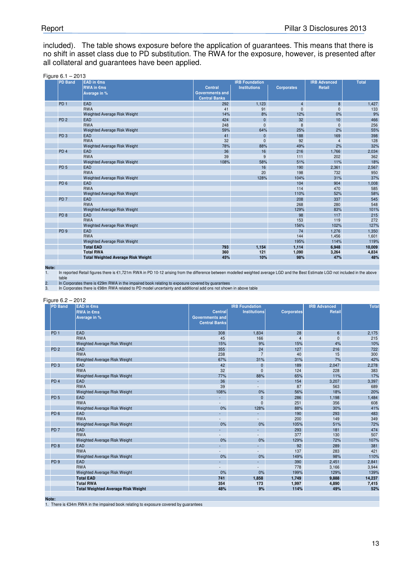included). The table shows exposure before the application of guarantees. This means that there is no shift in asset class due to PD substitution. The RWA for the exposure, however, is presented after all collateral and guarantees have been applied.

| <b>PD Band</b>  | <b>EAD</b> in €ms                         |                        | <b>IRB Foundation</b> |                   | <b>IRB Advanced</b> | <b>Total</b> |
|-----------------|-------------------------------------------|------------------------|-----------------------|-------------------|---------------------|--------------|
|                 | <b>RWA</b> in €ms                         | <b>Central</b>         | <b>Institutions</b>   | <b>Corporates</b> | Retail              |              |
|                 | Average in %                              | <b>Governments and</b> |                       |                   |                     |              |
|                 |                                           | <b>Central Banks</b>   |                       |                   |                     |              |
| PD <sub>1</sub> | <b>EAD</b>                                | 292                    | 1,123                 | $\overline{4}$    | 8                   | 1,427        |
|                 | <b>RWA</b>                                | 41                     | 91                    | $\Omega$          | $\mathbf{0}$        | 133          |
|                 | <b>Weighted Average Risk Weight</b>       | 14%                    | 8%                    | 12%               | 0%                  | 9%           |
| PD <sub>2</sub> | <b>EAD</b>                                | 424                    | $\mathbf{0}$          | 32 <sup>2</sup>   | 10                  | 466          |
|                 | <b>RWA</b>                                | 248                    | $\mathbf{0}$          | 8                 | $\mathbf{0}$        | 256          |
|                 | <b>Weighted Average Risk Weight</b>       | 59%                    | 64%                   | 25%               | 2%                  | 55%          |
| PD <sub>3</sub> | EAD                                       | 41                     | $\mathbf{0}$          | 188               | 169                 | 398          |
|                 | <b>RWA</b>                                | 32                     | $\mathbf{0}$          | 92                | $\overline{4}$      | 128          |
|                 | Weighted Average Risk Weight              | 78%                    | 88%                   | 49%               | 2%                  | 32%          |
| PD <sub>4</sub> | <b>EAD</b>                                | 36                     | 16                    | 216               | 1,766               | 2,034        |
|                 | <b>RWA</b>                                | 39                     | 9                     | 111               | 202                 | 362          |
|                 | <b>Weighted Average Risk Weight</b>       | 108%                   | 58%                   | 51%               | 11%                 | 18%          |
| PD <sub>5</sub> | <b>EAD</b>                                |                        | 16                    | 190               | 2,361               | 2,567        |
|                 | <b>RWA</b>                                |                        | 20                    | 198               | 732                 | 950          |
|                 | <b>Weighted Average Risk Weight</b>       |                        | 128%                  | 104%              | 31%                 | 37%          |
| PD <sub>6</sub> | EAD                                       |                        |                       | 104               | 904                 | 1,008        |
|                 | <b>RWA</b>                                |                        |                       | 114               | 470                 | 585          |
|                 | <b>Weighted Average Risk Weight</b>       |                        |                       | 110%              | 52%                 | 58%          |
| PD <sub>7</sub> | EAD                                       |                        |                       | 208               | 337                 | 545          |
|                 | <b>RWA</b>                                |                        |                       | 268               | 280                 | 548          |
|                 | <b>Weighted Average Risk Weight</b>       |                        |                       | 129%              | 83%                 | 101%         |
| PD <sub>8</sub> | EAD                                       |                        |                       | 98                | 117                 | 215          |
|                 | <b>RWA</b>                                |                        |                       | 153               | 119                 | 272          |
|                 | <b>Weighted Average Risk Weight</b>       |                        |                       | 156%              | 102%                | 127%         |
| PD <sub>9</sub> | EAD                                       |                        |                       | 74                | 1,276               | 1,350        |
|                 | <b>RWA</b>                                |                        |                       | 144               | 1,456               | 1,601        |
|                 | <b>Weighted Average Risk Weight</b>       |                        |                       | 195%              | 114%                | 119%         |
|                 | <b>Total EAD</b>                          | 793                    | 1,154                 | 1,114             | 6,948               | 10,009       |
|                 | <b>Total RWA</b>                          | 360                    | 121                   | 1,090             | 3,264               | 4,834        |
|                 | <b>Total Weighted Average Risk Weight</b> | 45%                    | 10%                   | 98%               | 47%                 | 48%          |

**Note:**

1. In reported Retail figures there is €1,721m RWA in PD 10-12 arising from the difference between modelled weighted average LGD and the Best Estimate LGD not included in the above table

2. In Corporates there is €29m RWA in the impaired book relating to exposure covered by guarantees

3. In Corporates there is €98m RWA related to PD model uncertainty and additional add ons not shown in above table

Figure 6.2 – 2012

|                 | <b>RWA in €ms</b><br>Average in %         | <b>Central</b><br><b>Governments and</b><br><b>Central Banks</b> | <b>Institutions</b> | <b>Corporates</b> | <b>IRB Advanced</b><br>Retail | <b>Total</b> |
|-----------------|-------------------------------------------|------------------------------------------------------------------|---------------------|-------------------|-------------------------------|--------------|
| PD <sub>1</sub> | <b>EAD</b>                                | 308                                                              | 1,834               | 28                | 6                             | 2,175        |
|                 | <b>RWA</b>                                | 45                                                               | 166                 | $\overline{4}$    | 0                             | 215          |
|                 | Weighted Average Risk Weight              | 15%                                                              | 9%                  | 15%               | 4%                            | 10%          |
| PD <sub>2</sub> | <b>EAD</b>                                | 355                                                              | 24                  | 127               | 216                           | 722          |
|                 | <b>RWA</b>                                | 238                                                              | $\overline{7}$      | 40                | 15                            | 300          |
|                 | <b>Weighted Average Risk Weight</b>       | 67%                                                              | 31%                 | 31%               | 7%                            | 42%          |
| PD <sub>3</sub> | EAD                                       | 42                                                               | $\mathbf{0}$        | 189               | 2,047                         | 2,278        |
|                 | <b>RWA</b>                                | 32                                                               | $\mathbf{0}$        | 124               | 228                           | 383          |
|                 | <b>Weighted Average Risk Weight</b>       | 77%                                                              | 88%                 | 65%               | 11%                           | 17%          |
| PD <sub>4</sub> | <b>EAD</b>                                | 36                                                               | $\sim 100$          | 154               | 3,207                         | 3,397        |
|                 | <b>RWA</b>                                | 39                                                               |                     | 87                | 563                           | 689          |
|                 | <b>Weighted Average Risk Weight</b>       | 108%                                                             | 0%                  | 56%               | 18%                           | 20%          |
| PD <sub>5</sub> | EAD                                       | $\mathcal{L}_{\mathcal{A}}$                                      | $\mathbf{0}$        | 286               | 1,198                         | 1,484        |
|                 | <b>RWA</b>                                |                                                                  | $\mathbf{0}$        | 251               | 356                           | 608          |
|                 | <b>Weighted Average Risk Weight</b>       | 0%                                                               | 128%                | 88%               | 30%                           | 41%          |
| PD <sub>6</sub> | EAD                                       | $\mathcal{L}_{\mathcal{A}}$                                      | $\omega_{\rm{eff}}$ | 190               | 293                           | 483          |
|                 | <b>RWA</b>                                |                                                                  |                     | 200               | 149                           | 349          |
|                 | <b>Weighted Average Risk Weight</b>       | 0%                                                               | 0%                  | 105%              | 51%                           | 72%          |
| PD <sub>7</sub> | EAD                                       | L.                                                               | $\Delta \sim 10$    | 293               | 181                           | 474          |
|                 | <b>RWA</b>                                |                                                                  |                     | 377               | 130                           | 507          |
|                 | <b>Weighted Average Risk Weight</b>       | 0%                                                               | 0%                  | 129%              | 72%                           | 107%         |
| PD <sub>8</sub> | <b>EAD</b>                                | ÷.                                                               | $\sim 100$          | 92                | 289                           | 381          |
|                 | <b>RWA</b>                                |                                                                  |                     | 137               | 283                           | 421          |
|                 | <b>Weighted Average Risk Weight</b>       | 0%                                                               | 0%                  | 149%              | 98%                           | 110%         |
| PD <sub>9</sub> | <b>EAD</b>                                | $\overline{\phantom{0}}$                                         | $\sim 100$          | 390               | 2,451                         | 2,841        |
|                 | <b>RWA</b>                                |                                                                  |                     | 778               | 3,166                         | 3,944        |
|                 | <b>Weighted Average Risk Weight</b>       | 0%                                                               | 0%                  | 199%              | 129%                          | 139%         |
|                 | <b>Total EAD</b>                          | 741                                                              | 1,858               | 1,749             | 9,888                         | 14,237       |
|                 | <b>Total RWA</b>                          | 354                                                              | 173                 | 1,997             | 4,890                         | 7,415        |
|                 | <b>Total Weighted Average Risk Weight</b> | 48%                                                              | 9%                  | 114%              | 49%                           | 52%          |

**Note:**

1. There is €34m RWA in the impaired book relating to exposure covered by guarantees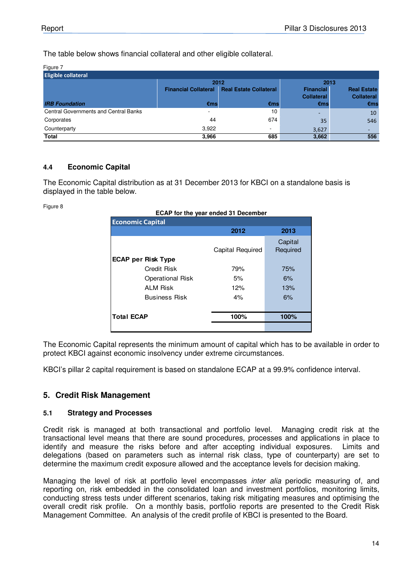The table below shows financial collateral and other eligible collateral.

| Figure 7                                     |                             |                               |                                       |                                         |  |  |  |  |
|----------------------------------------------|-----------------------------|-------------------------------|---------------------------------------|-----------------------------------------|--|--|--|--|
| <b>Eligible collateral</b>                   |                             |                               |                                       |                                         |  |  |  |  |
|                                              | 2012                        |                               | 2013                                  |                                         |  |  |  |  |
|                                              | <b>Financial Collateral</b> | <b>Real Estate Collateral</b> | <b>Financial</b><br><b>Collateral</b> | <b>Real Estate</b><br><b>Collateral</b> |  |  |  |  |
| <b>IRB Foundation</b>                        | $\epsilon$ ms               | €ms                           | €ms                                   | $\epsilon$ ms                           |  |  |  |  |
| <b>Central Governments and Central Banks</b> |                             | 10                            | ۰                                     | 10                                      |  |  |  |  |
| Corporates                                   | 44                          | 674                           | 35                                    | 546                                     |  |  |  |  |
| Counterparty                                 | 3,922                       | ۰                             | 3,627                                 | -                                       |  |  |  |  |
| <b>Total</b>                                 | 3,966                       | 685                           | 3,662                                 | 556                                     |  |  |  |  |

#### **4.4 Economic Capital**

The Economic Capital distribution as at 31 December 2013 for KBCI on a standalone basis is displayed in the table below.

Figure 8

| <b>Economic Capital</b>   |                  |                     |  |  |  |  |
|---------------------------|------------------|---------------------|--|--|--|--|
|                           | 2012             | 2013                |  |  |  |  |
|                           | Capital Required | Capital<br>Required |  |  |  |  |
| <b>ECAP per Risk Type</b> |                  |                     |  |  |  |  |
| Credit Risk               | 79%              | 75%                 |  |  |  |  |
| <b>Operational Risk</b>   | 5%               | 6%                  |  |  |  |  |
| <b>ALM Risk</b>           | 12%              | 13%                 |  |  |  |  |
| <b>Business Risk</b>      | 4%               | 6%                  |  |  |  |  |
| <b>Total ECAP</b>         | 100%             | 100%                |  |  |  |  |
|                           |                  |                     |  |  |  |  |

The Economic Capital represents the minimum amount of capital which has to be available in order to protect KBCI against economic insolvency under extreme circumstances.

KBCI's pillar 2 capital requirement is based on standalone ECAP at a 99.9% confidence interval.

### **5. Credit Risk Management**

#### **5.1 Strategy and Processes**

Credit risk is managed at both transactional and portfolio level. Managing credit risk at the transactional level means that there are sound procedures, processes and applications in place to identify and measure the risks before and after accepting individual exposures. Limits and delegations (based on parameters such as internal risk class, type of counterparty) are set to determine the maximum credit exposure allowed and the acceptance levels for decision making.

Managing the level of risk at portfolio level encompasses inter alia periodic measuring of, and reporting on, risk embedded in the consolidated loan and investment portfolios, monitoring limits, conducting stress tests under different scenarios, taking risk mitigating measures and optimising the overall credit risk profile. On a monthly basis, portfolio reports are presented to the Credit Risk Management Committee. An analysis of the credit profile of KBCI is presented to the Board.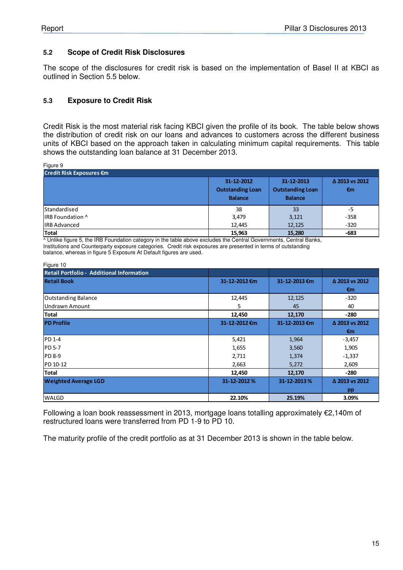#### **5.2 Scope of Credit Risk Disclosures**

The scope of the disclosures for credit risk is based on the implementation of Basel II at KBCI as outlined in Section 5.5 below.

#### **5.3 Exposure to Credit Risk**

Credit Risk is the most material risk facing KBCI given the profile of its book. The table below shows the distribution of credit risk on our loans and advances to customers across the different business units of KBCI based on the approach taken in calculating minimum capital requirements. This table shows the outstanding loan balance at 31 December 2013.

Figure 9

| $.79$ and $.79$<br>Credit Risk Exposures €m |                                                         |                                                         |                                |  |  |  |  |
|---------------------------------------------|---------------------------------------------------------|---------------------------------------------------------|--------------------------------|--|--|--|--|
|                                             | 31-12-2012<br><b>Outstanding Loan</b><br><b>Balance</b> | 31-12-2013<br><b>Outstanding Loan</b><br><b>Balance</b> | Δ 2013 vs 2012<br>$\epsilon$ m |  |  |  |  |
| <b>Standardised</b>                         | 38                                                      | 33                                                      | $-5$                           |  |  |  |  |
| IRB Foundation ^                            | 3,479                                                   | 3,121                                                   | $-358$                         |  |  |  |  |
| <b>IRB Advanced</b>                         | 12,445                                                  | 12,125                                                  | $-320$                         |  |  |  |  |
| <b>Total</b>                                | 15,963                                                  | 15,280                                                  | $-683$                         |  |  |  |  |

^ Unlike figure 5, the IRB Foundation category in the table above excludes the Central Governments, Central Banks, Institutions and Counterparty exposure categories. Credit risk exposures are presented in terms of outstanding balance, whereas in figure 5 Exposure At Default figures are used.

| Figure 10                                        |               |               |                |
|--------------------------------------------------|---------------|---------------|----------------|
| <b>Retail Portfolio - Additional Information</b> |               |               |                |
| <b>Retail Book</b>                               | 31-12-2012 €m | 31-12-2013 €m | Δ 2013 vs 2012 |
|                                                  |               |               | $\epsilon$ m   |
| <b>Outstanding Balance</b>                       | 12,445        | 12,125        | $-320$         |
| <b>Undrawn Amount</b>                            | 5.            | 45            | 40             |
| Total                                            | 12,450        | 12,170        | $-280$         |
| <b>PD Profile</b>                                | 31-12-2012 €m | 31-12-2013 €m | Δ 2013 vs 2012 |
|                                                  |               |               | €m             |
| PD 1-4                                           | 5,421         | 1,964         | $-3,457$       |
| <b>PD 5-7</b>                                    | 1,655         | 3,560         | 1,905          |
| <b>PD 8-9</b>                                    | 2,711         | 1,374         | $-1,337$       |
| PD 10-12                                         | 2,663         | 5,272         | 2,609          |
| <b>Total</b>                                     | 12,450        | 12,170        | $-280$         |
| <b>Weighted Average LGD</b>                      | 31-12-2012 %  | 31-12-2013%   | Δ 2013 vs 2012 |
|                                                  |               |               | pp             |
| <b>WALGD</b>                                     | 22.10%        | 25.19%        | 3.09%          |

Following a loan book reassessment in 2013, mortgage loans totalling approximately €2,140m of restructured loans were transferred from PD 1-9 to PD 10.

The maturity profile of the credit portfolio as at 31 December 2013 is shown in the table below.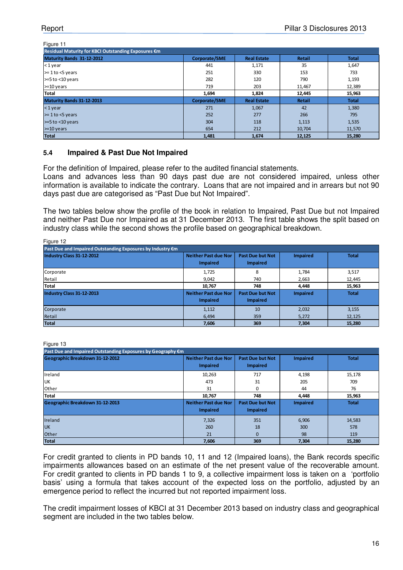#### Figure 11

| Residual Maturity for KBCI Outstanding Exposures €m |               |                    |               |              |
|-----------------------------------------------------|---------------|--------------------|---------------|--------------|
| Maturity Bands 31-12-2012                           | Corporate/SME | <b>Real Estate</b> | <b>Retail</b> | <b>Total</b> |
| $<$ 1 year                                          | 441           | 1,171              | 35            | 1,647        |
| $\ge$ 1 to <5 years                                 | 251           | 330                | 153           | 733          |
| >=5 to <10 years                                    | 282           | 120                | 790           | 1,193        |
| $>=10$ years                                        | 719           | 203                | 11,467        | 12,389       |
| <b>Total</b>                                        | 1,694         | 1,824              | 12,445        | 15,963       |
| Maturity Bands 31-12-2013                           | Corporate/SME | <b>Real Estate</b> | <b>Retail</b> | <b>Total</b> |
| $<$ 1 year                                          | 271           | 1,067              | 42            | 1,380        |
| $> = 1$ to $<$ 5 years                              | 252           | 277                | 266           | 795          |
| $>=5$ to $<$ 10 years                               | 304           | 118                | 1,113         | 1,535        |
| $>=10$ years                                        | 654           | 212                | 10,704        | 11,570       |
| <b>Total</b>                                        | 1,481         | 1,674              | 12,125        | 15,280       |

#### **5.4 Impaired & Past Due Not Impaired**

For the definition of Impaired, please refer to the audited financial statements.

Loans and advances less than 90 days past due are not considered impaired, unless other information is available to indicate the contrary. Loans that are not impaired and in arrears but not 90 days past due are categorised as "Past Due but Not Impaired".

The two tables below show the profile of the book in relation to Impaired, Past Due but not Impaired and neither Past Due nor Impaired as at 31 December 2013. The first table shows the split based on industry class while the second shows the profile based on geographical breakdown.

| Figure 12                                                  |                                                |                                            |                 |              |
|------------------------------------------------------------|------------------------------------------------|--------------------------------------------|-----------------|--------------|
| Past Due and Impaired Outstanding Exposures by Industry €m |                                                |                                            |                 |              |
| Industry Class 31-12-2012                                  | <b>Neither Past due Nor</b><br><b>Impaired</b> | <b>Past Due but Not</b><br><b>Impaired</b> | <b>Impaired</b> | <b>Total</b> |
| Corporate                                                  | 1,725                                          | 8                                          | 1,784           | 3,517        |
| Retail                                                     | 9,042                                          | 740                                        | 2,663           | 12,445       |
| Total                                                      | 10.767                                         | 748                                        | 4,448           | 15,963       |
| Industry Class 31-12-2013                                  | <b>Neither Past due Nor</b><br><b>Impaired</b> | <b>Past Due but Not</b><br><b>Impaired</b> | <b>Impaired</b> | <b>Total</b> |
| Corporate                                                  | 1,112                                          | 10                                         | 2,032           | 3,155        |
| Retail                                                     | 6,494                                          | 359                                        | 5,272           | 12,125       |
| <b>Total</b>                                               | 7,606                                          | 369                                        | 7.304           | 15,280       |

Figure 13

 $F(x) = 40$ 

| Past Due and Impaired Outstanding Exposures by Geography €m |                                                |                                            |                 |              |
|-------------------------------------------------------------|------------------------------------------------|--------------------------------------------|-----------------|--------------|
| Geographic Breakdown 31-12-2012                             | <b>Neither Past due Nor</b><br><b>Impaired</b> | <b>Past Due but Not</b><br><b>Impaired</b> | <b>Impaired</b> | <b>Total</b> |
| Ireland                                                     | 10,263                                         | 717                                        | 4,198           | 15,178       |
| <b>UK</b>                                                   | 473                                            | 31                                         | 205             | 709          |
| Other                                                       | 31                                             | $\Omega$                                   | 44              | 76           |
| <b>Total</b>                                                | 10.767                                         | 748                                        | 4.448           | 15,963       |
| Geographic Breakdown 31-12-2013                             | <b>Neither Past due Nor</b><br><b>Impaired</b> | <b>Past Due but Not</b><br><b>Impaired</b> | <b>Impaired</b> | <b>Total</b> |
| Ireland                                                     | 7,326                                          | 351                                        | 6,906           | 14,583       |
| <b>UK</b>                                                   | 260                                            | 18                                         | 300             | 578          |
| Other                                                       | 21                                             | $\mathbf{0}$                               | 98              | 119          |
| <b>Total</b>                                                | 7,606                                          | 369                                        | 7,304           | 15,280       |

For credit granted to clients in PD bands 10, 11 and 12 (Impaired loans), the Bank records specific impairments allowances based on an estimate of the net present value of the recoverable amount. For credit granted to clients in PD bands 1 to 9, a collective impairment loss is taken on a 'portfolio basis' using a formula that takes account of the expected loss on the portfolio, adjusted by an emergence period to reflect the incurred but not reported impairment loss.

The credit impairment losses of KBCI at 31 December 2013 based on industry class and geographical segment are included in the two tables below.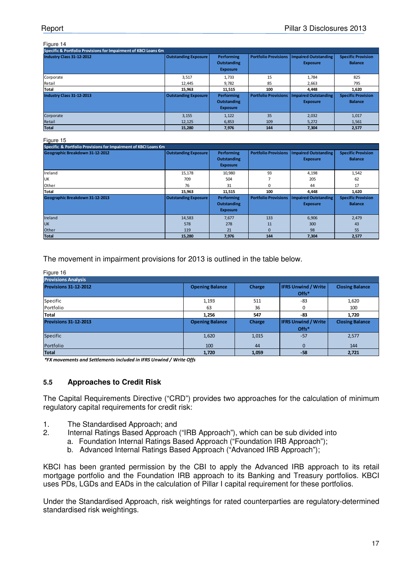#### Figure 14

| Specific & Portfolio Provisions for Impairment of KBCI Loans €m |                             |                    |                             |                      |                           |
|-----------------------------------------------------------------|-----------------------------|--------------------|-----------------------------|----------------------|---------------------------|
| Industry Class 31-12-2012                                       | <b>Outstanding Exposure</b> | <b>Performing</b>  | <b>Portfolio Provisions</b> | Impaired Outstanding | <b>Specific Provision</b> |
|                                                                 |                             | <b>Outstanding</b> |                             | <b>Exposure</b>      | <b>Balance</b>            |
|                                                                 |                             | <b>Exposure</b>    |                             |                      |                           |
| Corporate                                                       | 3,517                       | 1,733              | 15                          | 1,784                | 825                       |
| Retail                                                          | 12,445                      | 9,782              | 85                          | 2,663                | 795                       |
| <b>Total</b>                                                    | 15.963                      | 11,515             | 100                         | 4.448                | 1.620                     |
| Industry Class 31-12-2013                                       | <b>Outstanding Exposure</b> | Performing         | <b>Portfolio Provisions</b> | Impaired Outstanding | <b>Specific Provision</b> |
|                                                                 |                             | <b>Outstanding</b> |                             | <b>Exposure</b>      | <b>Balance</b>            |
|                                                                 |                             | <b>Exposure</b>    |                             |                      |                           |
| Corporate                                                       | 3,155                       | 1,122              | 35                          | 2,032                | 1,017                     |
| Retail                                                          | 12,125                      | 6,853              | 109                         | 5,272                | 1,561                     |
| <b>Total</b>                                                    | 15.280                      | 7.976              | 144                         | 7.304                | 2.577                     |

#### Figure 15

| Specific & Portfolio Provisions for Impairment of KBCI Loans €m |                             |                                                            |                             |                                                |                                             |
|-----------------------------------------------------------------|-----------------------------|------------------------------------------------------------|-----------------------------|------------------------------------------------|---------------------------------------------|
| Geographic Breakdown 31-12-2012                                 | <b>Outstanding Exposure</b> | <b>Performing</b><br><b>Outstanding</b><br><b>Exposure</b> | <b>Portfolio Provisions</b> | Impaired Outstanding<br><b>Exposure</b>        | <b>Specific Provision</b><br><b>Balance</b> |
| Ireland                                                         | 15,178                      | 10,980                                                     | 93                          | 4,198                                          | 1,542                                       |
| <b>UK</b>                                                       | 709                         | 504                                                        |                             | 205                                            | 62                                          |
| Other                                                           | 76                          | 31                                                         | $\Omega$                    | 44                                             | 17                                          |
| <b>Total</b>                                                    | 15,963                      | 11,515                                                     | 100                         | 4.448                                          | 1.620                                       |
| Geographic Breakdown 31-12-2013                                 | <b>Outstanding Exposure</b> | Performing<br><b>Outstanding</b><br><b>Exposure</b>        | <b>Portfolio Provisions</b> | <b>Impaired Outstanding</b><br><b>Exposure</b> | <b>Specific Provision</b><br><b>Balance</b> |
| Ireland                                                         | 14,583                      | 7,677                                                      | 133                         | 6,906                                          | 2,479                                       |
| <b>UK</b>                                                       | 578                         | 278                                                        | 11                          | 300                                            | 43                                          |
| Other                                                           | 119                         | 21                                                         | $\Omega$                    | 98                                             | 55                                          |
| <b>Total</b>                                                    | 15,280                      | 7,976                                                      | 144                         | 7,304                                          | 2,577                                       |

The movement in impairment provisions for 2013 is outlined in the table below.

| Figure 16                  |                        |        |                                                 |                        |
|----------------------------|------------------------|--------|-------------------------------------------------|------------------------|
| <b>Provisions Analysis</b> |                        |        |                                                 |                        |
| Provisions 31-12-2012      | <b>Opening Balance</b> | Charge | <b>IFRS Unwind / Write</b><br>Offs*             | <b>Closing Balance</b> |
| Specific                   | 1,193                  | 511    | -83                                             | 1,620                  |
| Portfolio                  | 63                     | 36     | $\Omega$                                        | 100                    |
| <b>Total</b>               | 1,256                  | 547    | -83                                             | 1,720                  |
| Provisions 31-12-2013      | <b>Opening Balance</b> | Charge | <b>IFRS Unwind / Write</b><br>Offs <sup>*</sup> | <b>Closing Balance</b> |
| Specific                   | 1,620                  | 1,015  | $-57$                                           | 2,577                  |
| Portfolio                  | 100                    | 44     | $\mathbf{0}$                                    | 144                    |
| <b>Total</b>               | 1,720                  | 1,059  | $-58$                                           | 2,721                  |

\*FX movements and Settlements included in IFRS Unwind / Write Offs

#### **5.5 Approaches to Credit Risk**

The Capital Requirements Directive ("CRD") provides two approaches for the calculation of minimum regulatory capital requirements for credit risk:

- 1. The Standardised Approach; and
- 2. Internal Ratings Based Approach ("IRB Approach"), which can be sub divided into
	- a. Foundation Internal Ratings Based Approach ("Foundation IRB Approach");
		- b. Advanced Internal Ratings Based Approach ("Advanced IRB Approach");

KBCI has been granted permission by the CBI to apply the Advanced IRB approach to its retail mortgage portfolio and the Foundation IRB approach to its Banking and Treasury portfolios. KBCI uses PDs, LGDs and EADs in the calculation of Pillar I capital requirement for these portfolios.

Under the Standardised Approach, risk weightings for rated counterparties are regulatory-determined standardised risk weightings.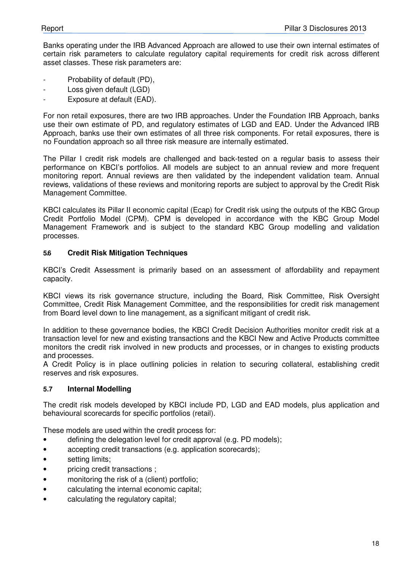Banks operating under the IRB Advanced Approach are allowed to use their own internal estimates of certain risk parameters to calculate regulatory capital requirements for credit risk across different asset classes. These risk parameters are:

- Probability of default (PD),
- Loss given default (LGD)
- Exposure at default (EAD).

For non retail exposures, there are two IRB approaches. Under the Foundation IRB Approach, banks use their own estimate of PD, and regulatory estimates of LGD and EAD. Under the Advanced IRB Approach, banks use their own estimates of all three risk components. For retail exposures, there is no Foundation approach so all three risk measure are internally estimated.

The Pillar I credit risk models are challenged and back-tested on a regular basis to assess their performance on KBCI's portfolios. All models are subject to an annual review and more frequent monitoring report. Annual reviews are then validated by the independent validation team. Annual reviews, validations of these reviews and monitoring reports are subject to approval by the Credit Risk Management Committee.

KBCI calculates its Pillar II economic capital (Ecap) for Credit risk using the outputs of the KBC Group Credit Portfolio Model (CPM). CPM is developed in accordance with the KBC Group Model Management Framework and is subject to the standard KBC Group modelling and validation processes.

#### **5.6 Credit Risk Mitigation Techniques**

KBCI's Credit Assessment is primarily based on an assessment of affordability and repayment capacity.

KBCI views its risk governance structure, including the Board, Risk Committee, Risk Oversight Committee, Credit Risk Management Committee, and the responsibilities for credit risk management from Board level down to line management, as a significant mitigant of credit risk.

In addition to these governance bodies, the KBCI Credit Decision Authorities monitor credit risk at a transaction level for new and existing transactions and the KBCI New and Active Products committee monitors the credit risk involved in new products and processes, or in changes to existing products and processes.

A Credit Policy is in place outlining policies in relation to securing collateral, establishing credit reserves and risk exposures.

#### **5.7 Internal Modelling**

The credit risk models developed by KBCI include PD, LGD and EAD models, plus application and behavioural scorecards for specific portfolios (retail).

These models are used within the credit process for:

- defining the delegation level for credit approval (e.g. PD models);
- accepting credit transactions (e.g. application scorecards);
- setting limits;
- pricing credit transactions ;
- monitoring the risk of a (client) portfolio:
- calculating the internal economic capital;
- calculating the regulatory capital;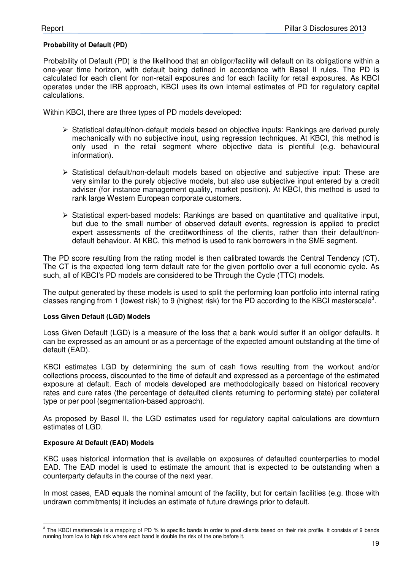#### **Probability of Default (PD)**

Probability of Default (PD) is the likelihood that an obligor/facility will default on its obligations within a one-year time horizon, with default being defined in accordance with Basel II rules. The PD is calculated for each client for non-retail exposures and for each facility for retail exposures. As KBCI operates under the IRB approach, KBCI uses its own internal estimates of PD for regulatory capital calculations.

Within KBCI, there are three types of PD models developed:

- Statistical default/non-default models based on objective inputs: Rankings are derived purely mechanically with no subjective input, using regression techniques. At KBCI, this method is only used in the retail segment where objective data is plentiful (e.g. behavioural information).
- $\triangleright$  Statistical default/non-default models based on objective and subjective input: These are very similar to the purely objective models, but also use subjective input entered by a credit adviser (for instance management quality, market position). At KBCI, this method is used to rank large Western European corporate customers.
- $\triangleright$  Statistical expert-based models: Rankings are based on quantitative and qualitative input, but due to the small number of observed default events, regression is applied to predict expert assessments of the creditworthiness of the clients, rather than their default/nondefault behaviour. At KBC, this method is used to rank borrowers in the SME segment.

The PD score resulting from the rating model is then calibrated towards the Central Tendency (CT). The CT is the expected long term default rate for the given portfolio over a full economic cycle. As such, all of KBCI's PD models are considered to be Through the Cycle (TTC) models.

The output generated by these models is used to split the performing loan portfolio into internal rating classes ranging from 1 (lowest risk) to 9 (highest risk) for the PD according to the KBCI masterscale<sup>3</sup>.

#### **Loss Given Default (LGD) Models**

Loss Given Default (LGD) is a measure of the loss that a bank would suffer if an obligor defaults. It can be expressed as an amount or as a percentage of the expected amount outstanding at the time of default (EAD).

KBCI estimates LGD by determining the sum of cash flows resulting from the workout and/or collections process, discounted to the time of default and expressed as a percentage of the estimated exposure at default. Each of models developed are methodologically based on historical recovery rates and cure rates (the percentage of defaulted clients returning to performing state) per collateral type or per pool (segmentation-based approach).

As proposed by Basel II, the LGD estimates used for regulatory capital calculations are downturn estimates of LGD.

#### **Exposure At Default (EAD) Models**

KBC uses historical information that is available on exposures of defaulted counterparties to model EAD. The EAD model is used to estimate the amount that is expected to be outstanding when a counterparty defaults in the course of the next year.

In most cases, EAD equals the nominal amount of the facility, but for certain facilities (e.g. those with undrawn commitments) it includes an estimate of future drawings prior to default.

 3 The KBCI masterscale is a mapping of PD % to specific bands in order to pool clients based on their risk profile. It consists of 9 bands running from low to high risk where each band is double the risk of the one before it.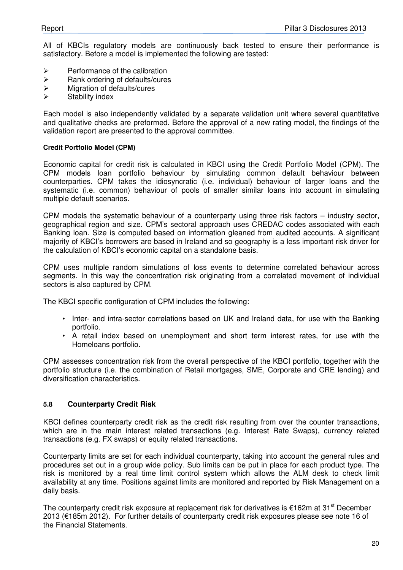All of KBCIs regulatory models are continuously back tested to ensure their performance is satisfactory. Before a model is implemented the following are tested:

- $\triangleright$  Performance of the calibration
- $\triangleright$  Rank ordering of defaults/cures
- Migration of defaults/cures
- $\triangleright$  Stability index

Each model is also independently validated by a separate validation unit where several quantitative and qualitative checks are preformed. Before the approval of a new rating model, the findings of the validation report are presented to the approval committee.

#### **Credit Portfolio Model (CPM)**

Economic capital for credit risk is calculated in KBCI using the Credit Portfolio Model (CPM). The CPM models loan portfolio behaviour by simulating common default behaviour between counterparties. CPM takes the idiosyncratic (i.e. individual) behaviour of larger loans and the systematic (i.e. common) behaviour of pools of smaller similar loans into account in simulating multiple default scenarios.

CPM models the systematic behaviour of a counterparty using three risk factors – industry sector, geographical region and size. CPM's sectoral approach uses CREDAC codes associated with each Banking loan. Size is computed based on information gleaned from audited accounts. A significant majority of KBCI's borrowers are based in Ireland and so geography is a less important risk driver for the calculation of KBCI's economic capital on a standalone basis.

CPM uses multiple random simulations of loss events to determine correlated behaviour across segments. In this way the concentration risk originating from a correlated movement of individual sectors is also captured by CPM.

The KBCI specific configuration of CPM includes the following:

- Inter- and intra-sector correlations based on UK and Ireland data, for use with the Banking portfolio.
- A retail index based on unemployment and short term interest rates, for use with the Homeloans portfolio.

CPM assesses concentration risk from the overall perspective of the KBCI portfolio, together with the portfolio structure (i.e. the combination of Retail mortgages, SME, Corporate and CRE lending) and diversification characteristics.

#### **5.8 Counterparty Credit Risk**

KBCI defines counterparty credit risk as the credit risk resulting from over the counter transactions, which are in the main interest related transactions (e.g. Interest Rate Swaps), currency related transactions (e.g. FX swaps) or equity related transactions.

Counterparty limits are set for each individual counterparty, taking into account the general rules and procedures set out in a group wide policy. Sub limits can be put in place for each product type. The risk is monitored by a real time limit control system which allows the ALM desk to check limit availability at any time. Positions against limits are monitored and reported by Risk Management on a daily basis.

The counterparty credit risk exposure at replacement risk for derivatives is  $\epsilon$ 162m at 31<sup>st</sup> December 2013 (€185m 2012). For further details of counterparty credit risk exposures please see note 16 of the Financial Statements.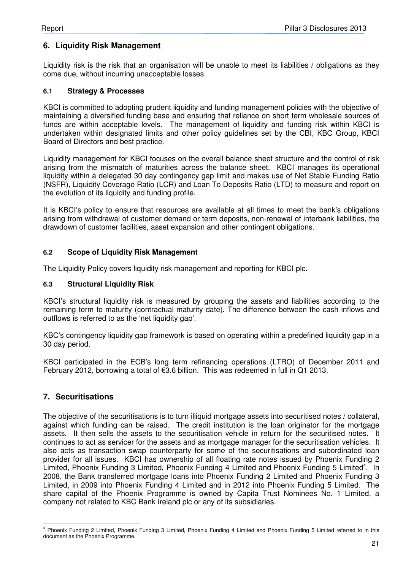### **6. Liquidity Risk Management**

Liquidity risk is the risk that an organisation will be unable to meet its liabilities / obligations as they come due, without incurring unacceptable losses.

#### **6.1 Strategy & Processes**

KBCI is committed to adopting prudent liquidity and funding management policies with the objective of maintaining a diversified funding base and ensuring that reliance on short term wholesale sources of funds are within acceptable levels. The management of liquidity and funding risk within KBCI is undertaken within designated limits and other policy guidelines set by the CBI, KBC Group, KBCI Board of Directors and best practice.

Liquidity management for KBCI focuses on the overall balance sheet structure and the control of risk arising from the mismatch of maturities across the balance sheet. KBCI manages its operational liquidity within a delegated 30 day contingency gap limit and makes use of Net Stable Funding Ratio (NSFR), Liquidity Coverage Ratio (LCR) and Loan To Deposits Ratio (LTD) to measure and report on the evolution of its liquidity and funding profile.

It is KBCI's policy to ensure that resources are available at all times to meet the bank's obligations arising from withdrawal of customer demand or term deposits, non-renewal of interbank liabilities, the drawdown of customer facilities, asset expansion and other contingent obligations.

#### **6.2 Scope of Liquidity Risk Management**

The Liquidity Policy covers liquidity risk management and reporting for KBCI plc.

#### **6.3 Structural Liquidity Risk**

KBCI's structural liquidity risk is measured by grouping the assets and liabilities according to the remaining term to maturity (contractual maturity date). The difference between the cash inflows and outflows is referred to as the 'net liquidity gap'.

KBC's contingency liquidity gap framework is based on operating within a predefined liquidity gap in a 30 day period.

KBCI participated in the ECB's long term refinancing operations (LTRO) of December 2011 and February 2012, borrowing a total of €3.6 billion. This was redeemed in full in Q1 2013.

### **7. Securitisations**

The objective of the securitisations is to turn illiquid mortgage assets into securitised notes / collateral, against which funding can be raised. The credit institution is the loan originator for the mortgage assets. It then sells the assets to the securitisation vehicle in return for the securitised notes. It continues to act as servicer for the assets and as mortgage manager for the securitisation vehicles. It also acts as transaction swap counterparty for some of the securitisations and subordinated loan provider for all issues. KBCI has ownership of all floating rate notes issued by Phoenix Funding 2 Limited, Phoenix Funding 3 Limited, Phoenix Funding 4 Limited and Phoenix Funding 5 Limited<sup>4</sup>. In 2008, the Bank transferred mortgage loans into Phoenix Funding 2 Limited and Phoenix Funding 3 Limited, in 2009 into Phoenix Funding 4 Limited and in 2012 into Phoenix Funding 5 Limited. The share capital of the Phoenix Programme is owned by Capita Trust Nominees No. 1 Limited, a company not related to KBC Bank Ireland plc or any of its subsidiaries.

 4 Phoenix Funding 2 Limited, Phoenix Funding 3 Limited, Phoenix Funding 4 Limited and Phoenix Funding 5 Limited referred to in this document as the Phoenix Programme.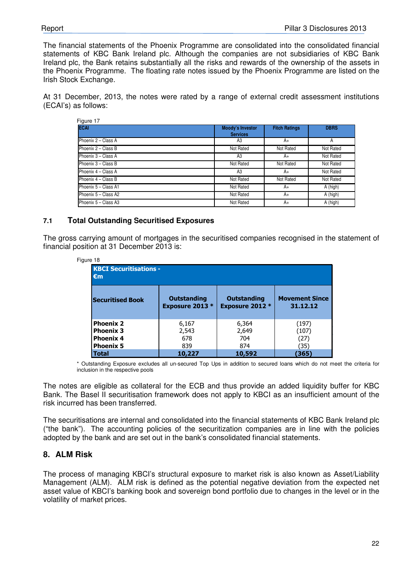The financial statements of the Phoenix Programme are consolidated into the consolidated financial statements of KBC Bank Ireland plc. Although the companies are not subsidiaries of KBC Bank Ireland plc, the Bank retains substantially all the risks and rewards of the ownership of the assets in the Phoenix Programme. The floating rate notes issued by the Phoenix Programme are listed on the Irish Stock Exchange.

At 31 December, 2013, the notes were rated by a range of external credit assessment institutions (ECAI's) as follows:

| Figure 17             |                                            |                      |             |
|-----------------------|--------------------------------------------|----------------------|-------------|
| <b>ECAI</b>           | <b>Moody's Investor</b><br><b>Services</b> | <b>Fitch Ratings</b> | <b>DBRS</b> |
| Phoenix $2 -$ Class A | A3                                         | A+                   | A           |
| Phoenix 2 - Class B   | Not Rated                                  | Not Rated            | Not Rated   |
| Phoenix 3 - Class A   | A3                                         | A+                   | Not Rated   |
| Phoenix 3 - Class B   | Not Rated                                  | Not Rated            | Not Rated   |
| Phoenix 4 - Class A   | A3                                         | A+                   | Not Rated   |
| Phoenix 4 - Class B   | Not Rated                                  | Not Rated            | Not Rated   |
| Phoenix 5 - Class A1  | Not Rated                                  | A+                   | A (high)    |
| Phoenix 5 - Class A2  | Not Rated                                  | A+                   | A (high)    |
| Phoenix 5 - Class A3  | Not Rated                                  | A+                   | A (high)    |

#### **7.1 Total Outstanding Securitised Exposures**

The gross carrying amount of mortgages in the securitised companies recognised in the statement of financial position at 31 December 2013 is:

| Figure 18                                                                    |                                              |                                              |                                   |
|------------------------------------------------------------------------------|----------------------------------------------|----------------------------------------------|-----------------------------------|
| <b>KBCI Securitisations -</b><br>$\epsilon$ m                                |                                              |                                              |                                   |
| <b>Securitised Book</b>                                                      | <b>Outstanding</b><br><b>Exposure 2013 *</b> | <b>Outstanding</b><br><b>Exposure 2012 *</b> | <b>Movement Since</b><br>31.12.12 |
| <b>Phoenix 2</b><br><b>Phoenix 3</b><br><b>Phoenix 4</b><br><b>Phoenix 5</b> | 6,167<br>2,543<br>678<br>839                 | 6,364<br>2,649<br>704<br>874                 | (197)<br>(107)<br>(27)<br>(35)    |
| Total                                                                        | 10,227                                       | 10,592                                       | (365)                             |

\* Outstanding Exposure excludes all un-secured Top Ups in addition to secured loans which do not meet the criteria for inclusion in the respective pools

The notes are eligible as collateral for the ECB and thus provide an added liquidity buffer for KBC Bank. The Basel II securitisation framework does not apply to KBCI as an insufficient amount of the risk incurred has been transferred.

The securitisations are internal and consolidated into the financial statements of KBC Bank Ireland plc ("the bank"). The accounting policies of the securitization companies are in line with the policies adopted by the bank and are set out in the bank's consolidated financial statements.

### **8. ALM Risk**

The process of managing KBCI's structural exposure to market risk is also known as Asset/Liability Management (ALM). ALM risk is defined as the potential negative deviation from the expected net asset value of KBCI's banking book and sovereign bond portfolio due to changes in the level or in the volatility of market prices.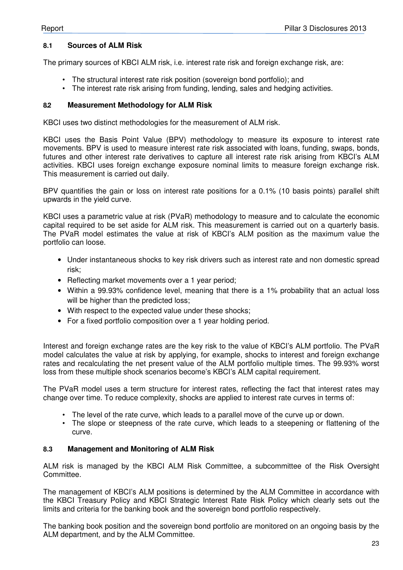#### **8.1 Sources of ALM Risk**

The primary sources of KBCI ALM risk, i.e. interest rate risk and foreign exchange risk, are:

- The structural interest rate risk position (sovereign bond portfolio); and
- The interest rate risk arising from funding, lending, sales and hedging activities.

#### **8.2 Measurement Methodology for ALM Risk**

KBCI uses two distinct methodologies for the measurement of ALM risk.

KBCI uses the Basis Point Value (BPV) methodology to measure its exposure to interest rate movements. BPV is used to measure interest rate risk associated with loans, funding, swaps, bonds, futures and other interest rate derivatives to capture all interest rate risk arising from KBCI's ALM activities. KBCI uses foreign exchange exposure nominal limits to measure foreign exchange risk. This measurement is carried out daily.

BPV quantifies the gain or loss on interest rate positions for a 0.1% (10 basis points) parallel shift upwards in the yield curve.

KBCI uses a parametric value at risk (PVaR) methodology to measure and to calculate the economic capital required to be set aside for ALM risk. This measurement is carried out on a quarterly basis. The PVaR model estimates the value at risk of KBCI's ALM position as the maximum value the portfolio can loose.

- Under instantaneous shocks to key risk drivers such as interest rate and non domestic spread risk;
- Reflecting market movements over a 1 year period;
- Within a 99.93% confidence level, meaning that there is a 1% probability that an actual loss will be higher than the predicted loss;
- With respect to the expected value under these shocks;
- For a fixed portfolio composition over a 1 year holding period.

Interest and foreign exchange rates are the key risk to the value of KBCI's ALM portfolio. The PVaR model calculates the value at risk by applying, for example, shocks to interest and foreign exchange rates and recalculating the net present value of the ALM portfolio multiple times. The 99.93% worst loss from these multiple shock scenarios become's KBCI's ALM capital requirement.

The PVaR model uses a term structure for interest rates, reflecting the fact that interest rates may change over time. To reduce complexity, shocks are applied to interest rate curves in terms of:

- The level of the rate curve, which leads to a parallel move of the curve up or down.
- The slope or steepness of the rate curve, which leads to a steepening or flattening of the curve.

#### **8.3 Management and Monitoring of ALM Risk**

ALM risk is managed by the KBCI ALM Risk Committee, a subcommittee of the Risk Oversight Committee.

The management of KBCI's ALM positions is determined by the ALM Committee in accordance with the KBCI Treasury Policy and KBCI Strategic Interest Rate Risk Policy which clearly sets out the limits and criteria for the banking book and the sovereign bond portfolio respectively.

The banking book position and the sovereign bond portfolio are monitored on an ongoing basis by the ALM department, and by the ALM Committee.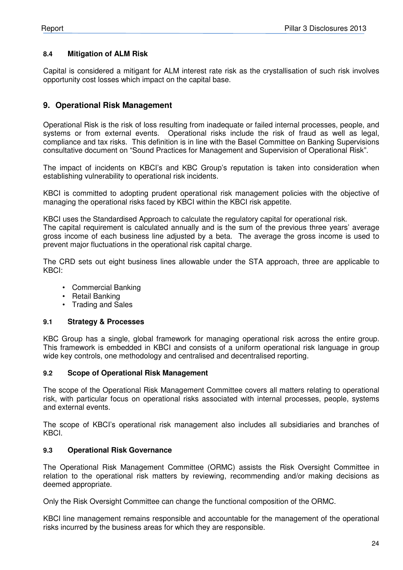#### **8.4 Mitigation of ALM Risk**

Capital is considered a mitigant for ALM interest rate risk as the crystallisation of such risk involves opportunity cost losses which impact on the capital base.

#### **9. Operational Risk Management**

Operational Risk is the risk of loss resulting from inadequate or failed internal processes, people, and systems or from external events. Operational risks include the risk of fraud as well as legal, compliance and tax risks. This definition is in line with the Basel Committee on Banking Supervisions consultative document on "Sound Practices for Management and Supervision of Operational Risk".

The impact of incidents on KBCI's and KBC Group's reputation is taken into consideration when establishing vulnerability to operational risk incidents.

KBCI is committed to adopting prudent operational risk management policies with the objective of managing the operational risks faced by KBCI within the KBCI risk appetite.

KBCI uses the Standardised Approach to calculate the regulatory capital for operational risk.

The capital requirement is calculated annually and is the sum of the previous three years' average gross income of each business line adjusted by a beta. The average the gross income is used to prevent major fluctuations in the operational risk capital charge.

The CRD sets out eight business lines allowable under the STA approach, three are applicable to KBCI:

- Commercial Banking
- Retail Banking
- Trading and Sales

#### **9.1 Strategy & Processes**

KBC Group has a single, global framework for managing operational risk across the entire group. This framework is embedded in KBCI and consists of a uniform operational risk language in group wide key controls, one methodology and centralised and decentralised reporting.

#### **9.2 Scope of Operational Risk Management**

The scope of the Operational Risk Management Committee covers all matters relating to operational risk, with particular focus on operational risks associated with internal processes, people, systems and external events.

The scope of KBCI's operational risk management also includes all subsidiaries and branches of KBCI.

#### **9.3 Operational Risk Governance**

The Operational Risk Management Committee (ORMC) assists the Risk Oversight Committee in relation to the operational risk matters by reviewing, recommending and/or making decisions as deemed appropriate.

Only the Risk Oversight Committee can change the functional composition of the ORMC.

KBCI line management remains responsible and accountable for the management of the operational risks incurred by the business areas for which they are responsible.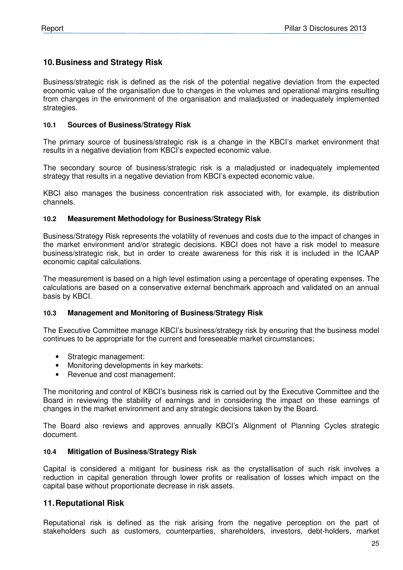#### **10. Business and Strategy Risk**

Business/strategic risk is defined as the risk of the potential negative deviation from the expected economic value of the organisation due to changes in the volumes and operational margins resulting from changes in the environment of the organisation and maladjusted or inadequately implemented strategies.

#### **10.1 Sources of Business/Strategy Risk**

The primary source of business/strategic risk is a change in the KBCI's market environment that results in a negative deviation from KBCI's expected economic value.

The secondary source of business/strategic risk is a maladjusted or inadequately implemented strategy that results in a negative deviation from KBCI's expected economic value.

KBCI also manages the business concentration risk associated with, for example, its distribution channels.

#### **10.2 Measurement Methodology for Business/Strategy Risk**

Business/Strategy Risk represents the volatility of revenues and costs due to the impact of changes in the market environment and/or strategic decisions. KBCI does not have a risk model to measure business/strategic risk, but in order to create awareness for this risk it is included in the ICAAP economic capital calculations.

The measurement is based on a high level estimation using a percentage of operating expenses. The calculations are based on a conservative external benchmark approach and validated on an annual basis by KBCI.

#### **10.3 Management and Monitoring of Business/Strategy Risk**

The Executive Committee manage KBCI's business/strategy risk by ensuring that the business model continues to be appropriate for the current and foreseeable market circumstances;

- Strategic management:
- Monitoring developments in key markets:
- Revenue and cost management:

The monitoring and control of KBCI's business risk is carried out by the Executive Committee and the Board in reviewing the stability of earnings and in considering the impact on these earnings of changes in the market environment and any strategic decisions taken by the Board.

The Board also reviews and approves annually KBCI's Alignment of Planning Cycles strategic document.

#### **10.4 Mitigation of Business/Strategy Risk**

Capital is considered a mitigant for business risk as the crystallisation of such risk involves a reduction in capital generation through lower profits or realisation of losses which impact on the capital base without proportionate decrease in risk assets.

#### **11. Reputational Risk**

Reputational risk is defined as the risk arising from the negative perception on the part of stakeholders such as customers, counterparties, shareholders, investors, debt-holders, market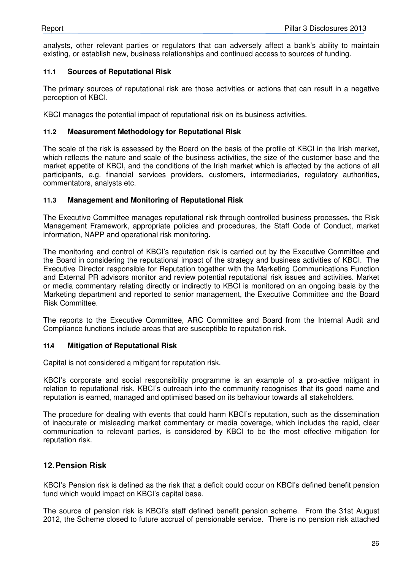analysts, other relevant parties or regulators that can adversely affect a bank's ability to maintain existing, or establish new, business relationships and continued access to sources of funding.

#### **11.1 Sources of Reputational Risk**

The primary sources of reputational risk are those activities or actions that can result in a negative perception of KBCI.

KBCI manages the potential impact of reputational risk on its business activities.

#### **11.2 Measurement Methodology for Reputational Risk**

The scale of the risk is assessed by the Board on the basis of the profile of KBCI in the Irish market, which reflects the nature and scale of the business activities, the size of the customer base and the market appetite of KBCI, and the conditions of the Irish market which is affected by the actions of all participants, e.g. financial services providers, customers, intermediaries, regulatory authorities, commentators, analysts etc.

#### **11.3 Management and Monitoring of Reputational Risk**

The Executive Committee manages reputational risk through controlled business processes, the Risk Management Framework, appropriate policies and procedures, the Staff Code of Conduct, market information, NAPP and operational risk monitoring.

The monitoring and control of KBCI's reputation risk is carried out by the Executive Committee and the Board in considering the reputational impact of the strategy and business activities of KBCI. The Executive Director responsible for Reputation together with the Marketing Communications Function and External PR advisors monitor and review potential reputational risk issues and activities. Market or media commentary relating directly or indirectly to KBCI is monitored on an ongoing basis by the Marketing department and reported to senior management, the Executive Committee and the Board Risk Committee.

The reports to the Executive Committee, ARC Committee and Board from the Internal Audit and Compliance functions include areas that are susceptible to reputation risk.

#### **11.4 Mitigation of Reputational Risk**

Capital is not considered a mitigant for reputation risk.

KBCI's corporate and social responsibility programme is an example of a pro-active mitigant in relation to reputational risk. KBCI's outreach into the community recognises that its good name and reputation is earned, managed and optimised based on its behaviour towards all stakeholders.

The procedure for dealing with events that could harm KBCI's reputation, such as the dissemination of inaccurate or misleading market commentary or media coverage, which includes the rapid, clear communication to relevant parties, is considered by KBCI to be the most effective mitigation for reputation risk.

### **12. Pension Risk**

KBCI's Pension risk is defined as the risk that a deficit could occur on KBCI's defined benefit pension fund which would impact on KBCI's capital base.

The source of pension risk is KBCI's staff defined benefit pension scheme. From the 31st August 2012, the Scheme closed to future accrual of pensionable service. There is no pension risk attached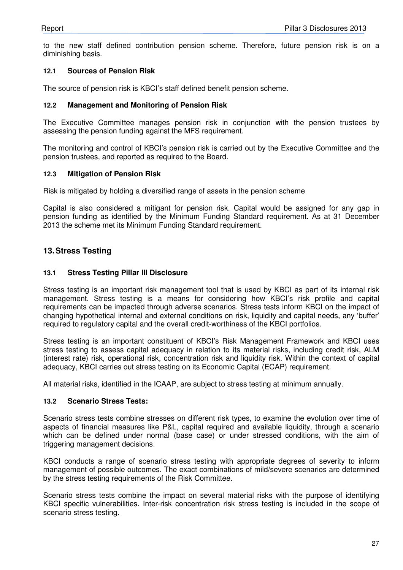to the new staff defined contribution pension scheme. Therefore, future pension risk is on a diminishing basis.

#### **12.1 Sources of Pension Risk**

The source of pension risk is KBCI's staff defined benefit pension scheme.

#### **12.2 Management and Monitoring of Pension Risk**

The Executive Committee manages pension risk in conjunction with the pension trustees by assessing the pension funding against the MFS requirement.

The monitoring and control of KBCI's pension risk is carried out by the Executive Committee and the pension trustees, and reported as required to the Board.

#### **12.3 Mitigation of Pension Risk**

Risk is mitigated by holding a diversified range of assets in the pension scheme

Capital is also considered a mitigant for pension risk. Capital would be assigned for any gap in pension funding as identified by the Minimum Funding Standard requirement. As at 31 December 2013 the scheme met its Minimum Funding Standard requirement.

#### **13. Stress Testing**

#### **13.1 Stress Testing Pillar III Disclosure**

Stress testing is an important risk management tool that is used by KBCI as part of its internal risk management. Stress testing is a means for considering how KBCI's risk profile and capital requirements can be impacted through adverse scenarios. Stress tests inform KBCI on the impact of changing hypothetical internal and external conditions on risk, liquidity and capital needs, any 'buffer' required to regulatory capital and the overall credit-worthiness of the KBCI portfolios.

Stress testing is an important constituent of KBCI's Risk Management Framework and KBCI uses stress testing to assess capital adequacy in relation to its material risks, including credit risk, ALM (interest rate) risk, operational risk, concentration risk and liquidity risk. Within the context of capital adequacy, KBCI carries out stress testing on its Economic Capital (ECAP) requirement.

All material risks, identified in the ICAAP, are subject to stress testing at minimum annually.

#### **13.2 Scenario Stress Tests:**

Scenario stress tests combine stresses on different risk types, to examine the evolution over time of aspects of financial measures like P&L, capital required and available liquidity, through a scenario which can be defined under normal (base case) or under stressed conditions, with the aim of triggering management decisions.

KBCI conducts a range of scenario stress testing with appropriate degrees of severity to inform management of possible outcomes. The exact combinations of mild/severe scenarios are determined by the stress testing requirements of the Risk Committee.

Scenario stress tests combine the impact on several material risks with the purpose of identifying KBCI specific vulnerabilities. Inter-risk concentration risk stress testing is included in the scope of scenario stress testing.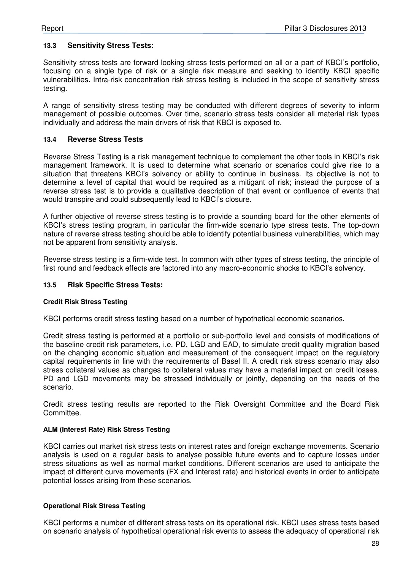#### **13.3 Sensitivity Stress Tests:**

Sensitivity stress tests are forward looking stress tests performed on all or a part of KBCI's portfolio, focusing on a single type of risk or a single risk measure and seeking to identify KBCI specific vulnerabilities. Intra-risk concentration risk stress testing is included in the scope of sensitivity stress testing.

A range of sensitivity stress testing may be conducted with different degrees of severity to inform management of possible outcomes. Over time, scenario stress tests consider all material risk types individually and address the main drivers of risk that KBCI is exposed to.

#### **13.4 Reverse Stress Tests**

Reverse Stress Testing is a risk management technique to complement the other tools in KBCI's risk management framework. It is used to determine what scenario or scenarios could give rise to a situation that threatens KBCI's solvency or ability to continue in business. Its objective is not to determine a level of capital that would be required as a mitigant of risk; instead the purpose of a reverse stress test is to provide a qualitative description of that event or confluence of events that would transpire and could subsequently lead to KBCI's closure.

A further objective of reverse stress testing is to provide a sounding board for the other elements of KBCI's stress testing program, in particular the firm-wide scenario type stress tests. The top-down nature of reverse stress testing should be able to identify potential business vulnerabilities, which may not be apparent from sensitivity analysis.

Reverse stress testing is a firm-wide test. In common with other types of stress testing, the principle of first round and feedback effects are factored into any macro-economic shocks to KBCI's solvency.

#### **13.5 Risk Specific Stress Tests:**

#### **Credit Risk Stress Testing**

KBCI performs credit stress testing based on a number of hypothetical economic scenarios.

Credit stress testing is performed at a portfolio or sub-portfolio level and consists of modifications of the baseline credit risk parameters, i.e. PD, LGD and EAD, to simulate credit quality migration based on the changing economic situation and measurement of the consequent impact on the regulatory capital requirements in line with the requirements of Basel II. A credit risk stress scenario may also stress collateral values as changes to collateral values may have a material impact on credit losses. PD and LGD movements may be stressed individually or jointly, depending on the needs of the scenario.

Credit stress testing results are reported to the Risk Oversight Committee and the Board Risk Committee.

#### **ALM (Interest Rate) Risk Stress Testing**

KBCI carries out market risk stress tests on interest rates and foreign exchange movements. Scenario analysis is used on a regular basis to analyse possible future events and to capture losses under stress situations as well as normal market conditions. Different scenarios are used to anticipate the impact of different curve movements (FX and Interest rate) and historical events in order to anticipate potential losses arising from these scenarios.

#### **Operational Risk Stress Testing**

KBCI performs a number of different stress tests on its operational risk. KBCI uses stress tests based on scenario analysis of hypothetical operational risk events to assess the adequacy of operational risk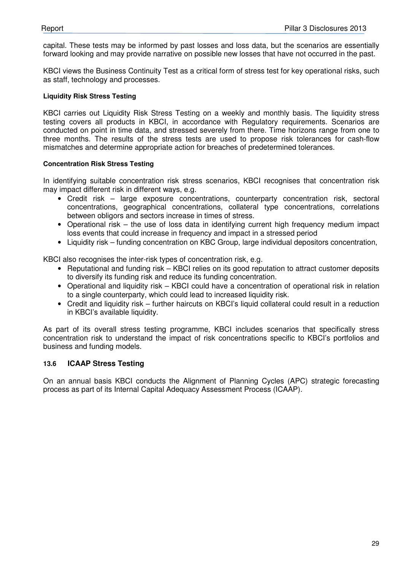capital. These tests may be informed by past losses and loss data, but the scenarios are essentially forward looking and may provide narrative on possible new losses that have not occurred in the past.

KBCI views the Business Continuity Test as a critical form of stress test for key operational risks, such as staff, technology and processes.

#### **Liquidity Risk Stress Testing**

KBCI carries out Liquidity Risk Stress Testing on a weekly and monthly basis. The liquidity stress testing covers all products in KBCI, in accordance with Regulatory requirements. Scenarios are conducted on point in time data, and stressed severely from there. Time horizons range from one to three months. The results of the stress tests are used to propose risk tolerances for cash-flow mismatches and determine appropriate action for breaches of predetermined tolerances.

#### **Concentration Risk Stress Testing**

In identifying suitable concentration risk stress scenarios, KBCI recognises that concentration risk may impact different risk in different ways, e.g.

- Credit risk large exposure concentrations, counterparty concentration risk, sectoral concentrations, geographical concentrations, collateral type concentrations, correlations between obligors and sectors increase in times of stress.
- Operational risk the use of loss data in identifying current high frequency medium impact loss events that could increase in frequency and impact in a stressed period
- Liquidity risk funding concentration on KBC Group, large individual depositors concentration,

KBCI also recognises the inter-risk types of concentration risk, e.g.

- Reputational and funding risk KBCI relies on its good reputation to attract customer deposits to diversify its funding risk and reduce its funding concentration.
- Operational and liquidity risk KBCI could have a concentration of operational risk in relation to a single counterparty, which could lead to increased liquidity risk.
- Credit and liquidity risk further haircuts on KBCI's liquid collateral could result in a reduction in KBCI's available liquidity.

As part of its overall stress testing programme, KBCI includes scenarios that specifically stress concentration risk to understand the impact of risk concentrations specific to KBCI's portfolios and business and funding models.

#### **13.6 ICAAP Stress Testing**

On an annual basis KBCI conducts the Alignment of Planning Cycles (APC) strategic forecasting process as part of its Internal Capital Adequacy Assessment Process (ICAAP).